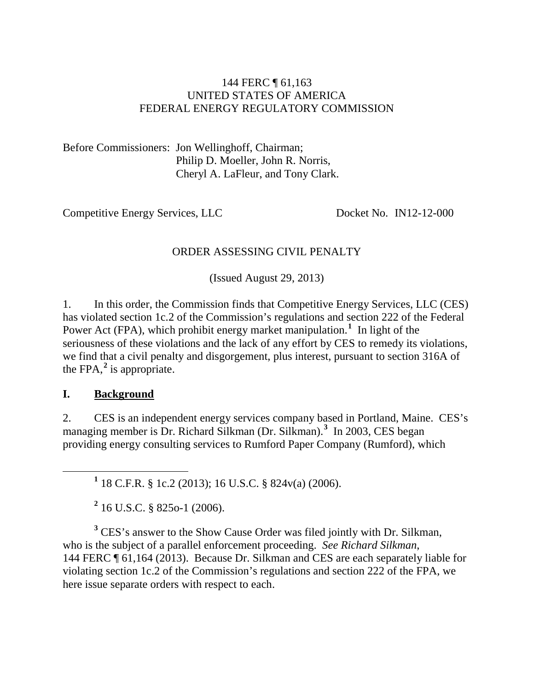#### 144 FERC ¶ 61,163 UNITED STATES OF AMERICA FEDERAL ENERGY REGULATORY COMMISSION

Before Commissioners: Jon Wellinghoff, Chairman; Philip D. Moeller, John R. Norris, Cheryl A. LaFleur, and Tony Clark.

Competitive Energy Services, LLC Docket No. IN12-12-000

#### ORDER ASSESSING CIVIL PENALTY

(Issued August 29, 2013)

1. In this order, the Commission finds that Competitive Energy Services, LLC (CES) has violated section 1c.2 of the Commission's regulations and section 222 of the Federal Power Act (FPA), which prohibit energy market manipulation.<sup>[1](#page-0-0)</sup> In light of the seriousness of these violations and the lack of any effort by CES to remedy its violations, we find that a civil penalty and disgorgement, plus interest, pursuant to section 316A of the FPA $^2$  $^2$  is appropriate.

#### **I. Background**

2. CES is an independent energy services company based in Portland, Maine. CES's managing member is Dr. Richard Silkman (Dr. Silkman).**[3](#page-0-2)** In 2003, CES began providing energy consulting services to Rumford Paper Company (Rumford), which

**<sup>1</sup>** 18 C.F.R. § 1c.2 (2013); 16 U.S.C. § 824v(a) (2006).

**<sup>2</sup>** 16 U.S.C. § 825o-1 (2006).

<span id="page-0-2"></span><span id="page-0-1"></span><span id="page-0-0"></span><sup>3</sup> CES's answer to the Show Cause Order was filed jointly with Dr. Silkman, who is the subject of a parallel enforcement proceeding. *See Richard Silkman*, 144 FERC ¶ 61,164 (2013). Because Dr. Silkman and CES are each separately liable for violating section 1c.2 of the Commission's regulations and section 222 of the FPA, we here issue separate orders with respect to each.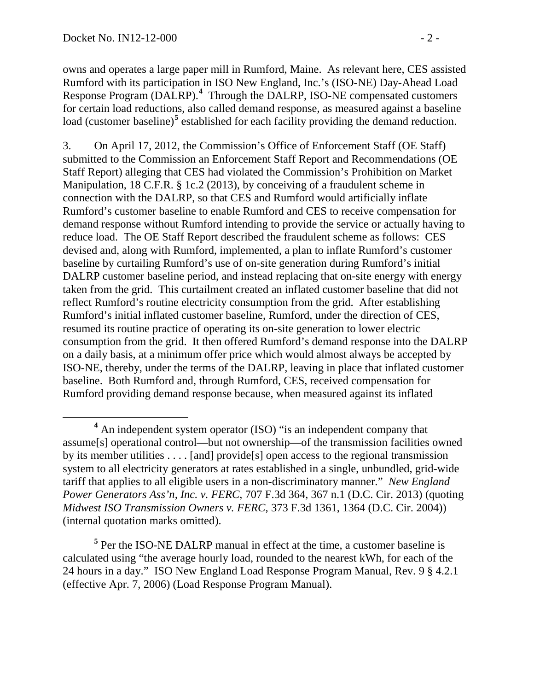owns and operates a large paper mill in Rumford, Maine. As relevant here, CES assisted Rumford with its participation in ISO New England, Inc.'s (ISO-NE) Day-Ahead Load Response Program (DALRP). **[4](#page-1-0)** Through the DALRP, ISO-NE compensated customers for certain load reductions, also called demand response, as measured against a baseline load (customer baseline)<sup>[5](#page-1-1)</sup> established for each facility providing the demand reduction.

3. On April 17, 2012, the Commission's Office of Enforcement Staff (OE Staff) submitted to the Commission an Enforcement Staff Report and Recommendations (OE Staff Report) alleging that CES had violated the Commission's Prohibition on Market Manipulation, 18 C.F.R. § 1c.2 (2013), by conceiving of a fraudulent scheme in connection with the DALRP, so that CES and Rumford would artificially inflate Rumford's customer baseline to enable Rumford and CES to receive compensation for demand response without Rumford intending to provide the service or actually having to reduce load. The OE Staff Report described the fraudulent scheme as follows: CES devised and, along with Rumford, implemented, a plan to inflate Rumford's customer baseline by curtailing Rumford's use of on-site generation during Rumford's initial DALRP customer baseline period, and instead replacing that on-site energy with energy taken from the grid. This curtailment created an inflated customer baseline that did not reflect Rumford's routine electricity consumption from the grid. After establishing Rumford's initial inflated customer baseline, Rumford, under the direction of CES, resumed its routine practice of operating its on-site generation to lower electric consumption from the grid. It then offered Rumford's demand response into the DALRP on a daily basis, at a minimum offer price which would almost always be accepted by ISO-NE, thereby, under the terms of the DALRP, leaving in place that inflated customer baseline. Both Rumford and, through Rumford, CES, received compensation for Rumford providing demand response because, when measured against its inflated

<span id="page-1-1"></span>**<sup>5</sup>** Per the ISO-NE DALRP manual in effect at the time, a customer baseline is calculated using "the average hourly load, rounded to the nearest kWh, for each of the 24 hours in a day." ISO New England Load Response Program Manual, Rev. 9 § 4.2.1 (effective Apr. 7, 2006) (Load Response Program Manual).

<span id="page-1-0"></span>**<sup>4</sup>** An independent system operator (ISO) "is an independent company that assume[s] operational control—but not ownership—of the transmission facilities owned by its member utilities . . . . [and] provide[s] open access to the regional transmission system to all electricity generators at rates established in a single, unbundled, grid-wide tariff that applies to all eligible users in a non-discriminatory manner." *New England Power Generators Ass'n, Inc. v. FERC*, 707 F.3d 364, 367 n.1 (D.C. Cir. 2013) (quoting *Midwest ISO Transmission Owners v. FERC*, 373 F.3d 1361, 1364 (D.C. Cir. 2004)) (internal quotation marks omitted).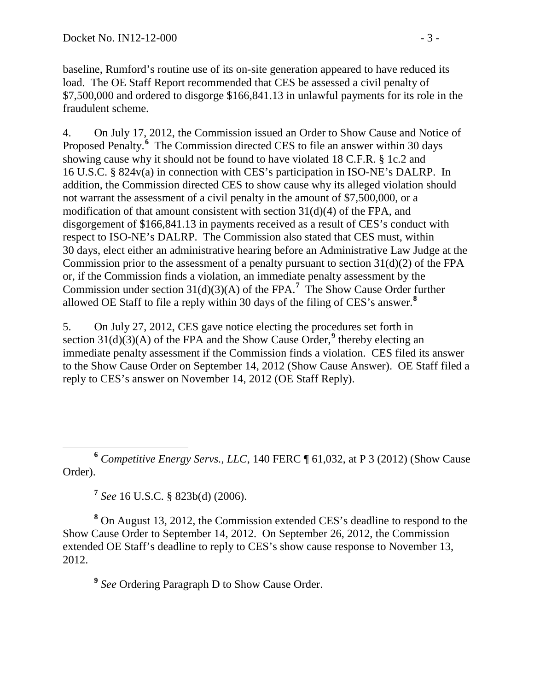baseline, Rumford's routine use of its on-site generation appeared to have reduced its load. The OE Staff Report recommended that CES be assessed a civil penalty of \$7,500,000 and ordered to disgorge \$166,841.13 in unlawful payments for its role in the fraudulent scheme.

4. On July 17, 2012, the Commission issued an Order to Show Cause and Notice of Proposed Penalty.<sup>[6](#page-2-0)</sup> The Commission directed CES to file an answer within 30 days showing cause why it should not be found to have violated 18 C.F.R. § 1c.2 and 16 U.S.C. § 824v(a) in connection with CES's participation in ISO-NE's DALRP. In addition, the Commission directed CES to show cause why its alleged violation should not warrant the assessment of a civil penalty in the amount of \$7,500,000, or a modification of that amount consistent with section  $31(d)(4)$  of the FPA, and disgorgement of \$166,841.13 in payments received as a result of CES's conduct with respect to ISO-NE's DALRP. The Commission also stated that CES must, within 30 days, elect either an administrative hearing before an Administrative Law Judge at the Commission prior to the assessment of a penalty pursuant to section  $31(d)(2)$  of the FPA or, if the Commission finds a violation, an immediate penalty assessment by the Commission under section  $31(d)(3)(A)$  of the FPA.<sup>[7](#page-2-1)</sup> The Show Cause Order further allowed OE Staff to file a reply within 30 days of the filing of CES's answer.**[8](#page-2-2)**

5. On July 27, 2012, CES gave notice electing the procedures set forth in section  $31(d)(3)(A)$  of the FPA and the Show Cause Order,<sup>[9](#page-2-3)</sup> thereby electing an immediate penalty assessment if the Commission finds a violation. CES filed its answer to the Show Cause Order on September 14, 2012 (Show Cause Answer). OE Staff filed a reply to CES's answer on November 14, 2012 (OE Staff Reply).

<span id="page-2-0"></span> **<sup>6</sup>** *Competitive Energy Servs., LLC*, 140 FERC ¶ 61,032, at P 3 (2012) (Show Cause Order).

**<sup>7</sup>** *See* 16 U.S.C. § 823b(d) (2006).

<span id="page-2-3"></span><span id="page-2-2"></span><span id="page-2-1"></span>**<sup>8</sup>** On August 13, 2012, the Commission extended CES's deadline to respond to the Show Cause Order to September 14, 2012. On September 26, 2012, the Commission extended OE Staff's deadline to reply to CES's show cause response to November 13, 2012.

**<sup>9</sup>** *See* Ordering Paragraph D to Show Cause Order.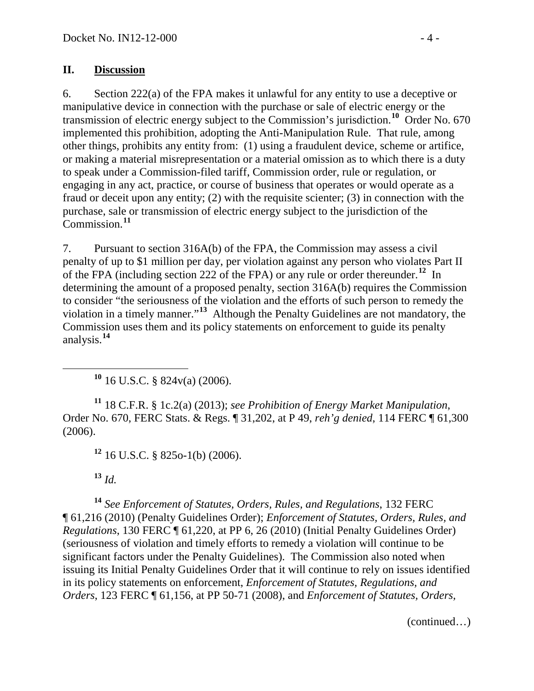### **II. Discussion**

6. Section 222(a) of the FPA makes it unlawful for any entity to use a deceptive or manipulative device in connection with the purchase or sale of electric energy or the transmission of electric energy subject to the Commission's jurisdiction.<sup>[10](#page-3-0)</sup> Order No. 670 implemented this prohibition, adopting the Anti-Manipulation Rule. That rule, among other things, prohibits any entity from: (1) using a fraudulent device, scheme or artifice, or making a material misrepresentation or a material omission as to which there is a duty to speak under a Commission-filed tariff, Commission order, rule or regulation, or engaging in any act, practice, or course of business that operates or would operate as a fraud or deceit upon any entity; (2) with the requisite scienter; (3) in connection with the purchase, sale or transmission of electric energy subject to the jurisdiction of the Commission.**[11](#page-3-1)**

7. Pursuant to section 316A(b) of the FPA, the Commission may assess a civil penalty of up to \$1 million per day, per violation against any person who violates Part II of the FPA (including section 222 of the FPA) or any rule or order thereunder.**[12](#page-3-2)** In determining the amount of a proposed penalty, section 316A(b) requires the Commission to consider "the seriousness of the violation and the efforts of such person to remedy the violation in a timely manner."**[13](#page-3-3)** Although the Penalty Guidelines are not mandatory, the Commission uses them and its policy statements on enforcement to guide its penalty analysis.**[14](#page-3-4)**

<span id="page-3-5"></span>**<sup>10</sup>** 16 U.S.C. § 824v(a) (2006).

<span id="page-3-1"></span><span id="page-3-0"></span>**<sup>11</sup>** 18 C.F.R. § 1c.2(a) (2013); *see Prohibition of Energy Market Manipulation*, Order No. 670, FERC Stats. & Regs. ¶ 31,202, at P 49, *reh'g denied*, 114 FERC ¶ 61,300 (2006).

**<sup>12</sup>** 16 U.S.C. § 825o-1(b) (2006).

**<sup>13</sup>** *Id.*

<span id="page-3-4"></span><span id="page-3-3"></span><span id="page-3-2"></span>**<sup>14</sup>** *See Enforcement of Statutes, Orders, Rules, and Regulations*, 132 FERC ¶ 61,216 (2010) (Penalty Guidelines Order); *Enforcement of Statutes, Orders, Rules, and Regulations*, 130 FERC ¶ 61,220, at PP 6, 26 (2010) (Initial Penalty Guidelines Order) (seriousness of violation and timely efforts to remedy a violation will continue to be significant factors under the Penalty Guidelines). The Commission also noted when issuing its Initial Penalty Guidelines Order that it will continue to rely on issues identified in its policy statements on enforcement, *Enforcement of Statutes, Regulations, and Orders*, 123 FERC ¶ 61,156, at PP 50-71 (2008), and *Enforcement of Statutes, Orders,* 

(continued…)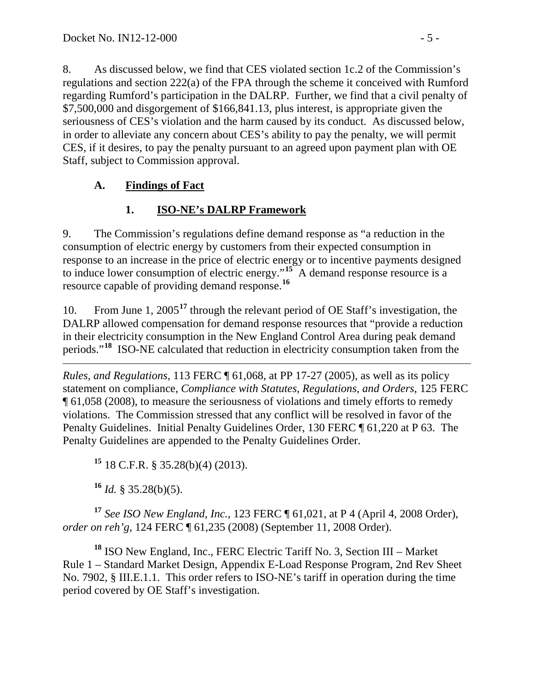8. As discussed below, we find that CES violated section 1c.2 of the Commission's regulations and section 222(a) of the FPA through the scheme it conceived with Rumford regarding Rumford's participation in the DALRP. Further, we find that a civil penalty of \$7,500,000 and disgorgement of \$166,841.13, plus interest, is appropriate given the seriousness of CES's violation and the harm caused by its conduct. As discussed below, in order to alleviate any concern about CES's ability to pay the penalty, we will permit CES, if it desires, to pay the penalty pursuant to an agreed upon payment plan with OE Staff, subject to Commission approval.

# **A. Findings of Fact**

# **1. ISO-NE's DALRP Framework**

9. The Commission's regulations define demand response as "a reduction in the consumption of electric energy by customers from their expected consumption in response to an increase in the price of electric energy or to incentive payments designed to induce lower consumption of electric energy."<sup>[15](#page-4-0)</sup> A demand response resource is a resource capable of providing demand response.**[16](#page-4-1)**

10. From June 1, 2005**[17](#page-4-2)** through the relevant period of OE Staff's investigation, the DALRP allowed compensation for demand response resources that "provide a reduction" in their electricity consumption in the New England Control Area during peak demand periods."**[18](#page-4-3)** ISO-NE calculated that reduction in electricity consumption taken from the

 $\overline{a}$ *Rules, and Regulations*, 113 FERC ¶ 61,068, at PP 17-27 (2005), as well as its policy statement on compliance, *Compliance with Statutes, Regulations, and Orders*, 125 FERC ¶ 61,058 (2008), to measure the seriousness of violations and timely efforts to remedy violations. The Commission stressed that any conflict will be resolved in favor of the Penalty Guidelines. Initial Penalty Guidelines Order, 130 FERC ¶ 61,220 at P 63. The Penalty Guidelines are appended to the Penalty Guidelines Order.

**<sup>15</sup>** 18 C.F.R. § 35.28(b)(4) (2013).

**<sup>16</sup>** *Id.* § 35.28(b)(5).

<span id="page-4-2"></span><span id="page-4-1"></span><span id="page-4-0"></span>**<sup>17</sup>** *See ISO New England, Inc.*, 123 FERC ¶ 61,021, at P 4 (April 4, 2008 Order), *order on reh'g*, 124 FERC ¶ 61,235 (2008) (September 11, 2008 Order).

<span id="page-4-3"></span>**<sup>18</sup>** ISO New England, Inc., FERC Electric Tariff No. 3, Section III – Market Rule 1 – Standard Market Design, Appendix E-Load Response Program, 2nd Rev Sheet No. 7902, § III.E.1.1. This order refers to ISO-NE's tariff in operation during the time period covered by OE Staff's investigation.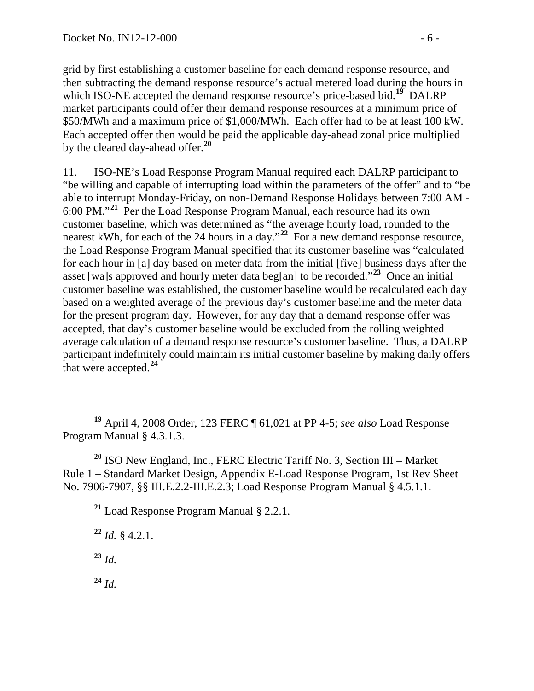grid by first establishing a customer baseline for each demand response resource, and then subtracting the demand response resource's actual metered load during the hours in which ISO-NE accepted the demand response resource's price-based bid.<sup>[19](#page-5-0)</sup> DALRP market participants could offer their demand response resources at a minimum price of \$50/MWh and a maximum price of \$1,000/MWh. Each offer had to be at least 100 kW. Each accepted offer then would be paid the applicable day-ahead zonal price multiplied by the cleared day-ahead offer.**[20](#page-5-1)**

11. ISO-NE's Load Response Program Manual required each DALRP participant to "be willing and capable of interrupting load within the parameters of the offer" and to "be able to interrupt Monday-Friday, on non-Demand Response Holidays between 7:00 AM - 6:00 PM."**[21](#page-5-2)** Per the Load Response Program Manual, each resource had its own customer baseline, which was determined as "the average hourly load, rounded to the nearest kWh, for each of the 24 hours in a day.<sup>"[22](#page-5-3)</sup> For a new demand response resource, the Load Response Program Manual specified that its customer baseline was "calculated for each hour in [a] day based on meter data from the initial [five] business days after the asset [wa]s approved and hourly meter data beg[an] to be recorded."**[23](#page-5-4)** Once an initial customer baseline was established, the customer baseline would be recalculated each day based on a weighted average of the previous day's customer baseline and the meter data for the present program day. However, for any day that a demand response offer was accepted, that day's customer baseline would be excluded from the rolling weighted average calculation of a demand response resource's customer baseline. Thus, a DALRP participant indefinitely could maintain its initial customer baseline by making daily offers that were accepted.**[24](#page-5-5)**

<span id="page-5-0"></span> **<sup>19</sup>** April 4, 2008 Order, 123 FERC ¶ 61,021 at PP 4-5; *see also* Load Response Program Manual § 4.3.1.3.

<span id="page-5-2"></span><span id="page-5-1"></span>**<sup>20</sup>** ISO New England, Inc., FERC Electric Tariff No. 3, Section III – Market Rule 1 – Standard Market Design, Appendix E-Load Response Program, 1st Rev Sheet No. 7906-7907, §§ III.E.2.2-III.E.2.3; Load Response Program Manual § 4.5.1.1.

**<sup>21</sup>** Load Response Program Manual § 2.2.1.

<span id="page-5-3"></span>**<sup>22</sup>** *Id.* § 4.2.1. **<sup>23</sup>** *Id.*

<span id="page-5-5"></span><span id="page-5-4"></span>**<sup>24</sup>** *Id.*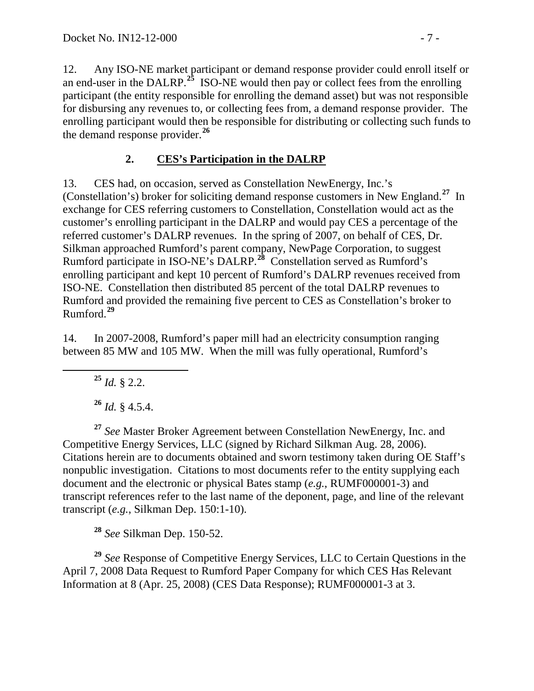12. Any ISO-NE market participant or demand response provider could enroll itself or an end-user in the DALRP.**[25](#page-6-0)** ISO-NE would then pay or collect fees from the enrolling participant (the entity responsible for enrolling the demand asset) but was not responsible for disbursing any revenues to, or collecting fees from, a demand response provider. The enrolling participant would then be responsible for distributing or collecting such funds to the demand response provider.**[26](#page-6-1)**

# **2. CES's Participation in the DALRP**

13. CES had, on occasion, served as Constellation NewEnergy, Inc.'s (Constellation's) broker for soliciting demand response customers in New England.**[27](#page-6-2)** In exchange for CES referring customers to Constellation, Constellation would act as the customer's enrolling participant in the DALRP and would pay CES a percentage of the referred customer's DALRP revenues. In the spring of 2007, on behalf of CES, Dr. Silkman approached Rumford's parent company, NewPage Corporation, to suggest Rumford participate in ISO-NE's DALRP.**[28](#page-6-3)** Constellation served as Rumford's enrolling participant and kept 10 percent of Rumford's DALRP revenues received from ISO-NE. Constellation then distributed 85 percent of the total DALRP revenues to Rumford and provided the remaining five percent to CES as Constellation's broker to Rumford.**[29](#page-6-4)**

<span id="page-6-0"></span>14. In 2007-2008, Rumford's paper mill had an electricity consumption ranging between 85 MW and 105 MW. When the mill was fully operational, Rumford's

**<sup>25</sup>** *Id.* § 2.2.

**<sup>26</sup>** *Id.* § 4.5.4.

<span id="page-6-2"></span><span id="page-6-1"></span>**<sup>27</sup>** *See* Master Broker Agreement between Constellation NewEnergy, Inc. and Competitive Energy Services, LLC (signed by Richard Silkman Aug. 28, 2006). Citations herein are to documents obtained and sworn testimony taken during OE Staff's nonpublic investigation. Citations to most documents refer to the entity supplying each document and the electronic or physical Bates stamp (*e.g.*, RUMF000001-3) and transcript references refer to the last name of the deponent, page, and line of the relevant transcript (*e.g.*, Silkman Dep. 150:1-10).

**<sup>28</sup>** *See* Silkman Dep. 150-52.

<span id="page-6-4"></span><span id="page-6-3"></span>**<sup>29</sup>** *See* Response of Competitive Energy Services, LLC to Certain Questions in the April 7, 2008 Data Request to Rumford Paper Company for which CES Has Relevant Information at 8 (Apr. 25, 2008) (CES Data Response); RUMF000001-3 at 3.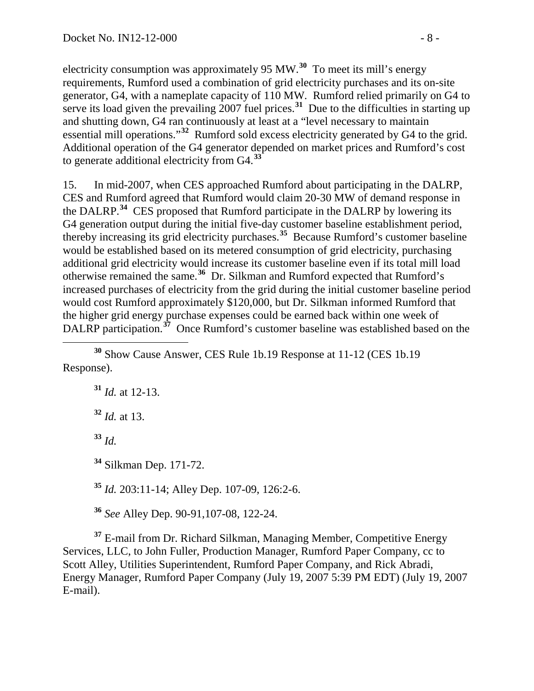electricity consumption was approximately 95 MW.**[30](#page-7-0)** To meet its mill's energy requirements, Rumford used a combination of grid electricity purchases and its on-site generator, G4, with a nameplate capacity of 110 MW. Rumford relied primarily on G4 to serve its load given the prevailing 2007 fuel prices.<sup>[31](#page-7-1)</sup> Due to the difficulties in starting up and shutting down, G4 ran continuously at least at a "level necessary to maintain essential mill operations."**[32](#page-7-2)** Rumford sold excess electricity generated by G4 to the grid. Additional operation of the G4 generator depended on market prices and Rumford's cost to generate additional electricity from G4.**[33](#page-7-3)**

<span id="page-7-8"></span>15. In mid-2007, when CES approached Rumford about participating in the DALRP, CES and Rumford agreed that Rumford would claim 20-30 MW of demand response in the DALRP.**[34](#page-7-4)** CES proposed that Rumford participate in the DALRP by lowering its G4 generation output during the initial five-day customer baseline establishment period, thereby increasing its grid electricity purchases.**[35](#page-7-5)** Because Rumford's customer baseline would be established based on its metered consumption of grid electricity, purchasing additional grid electricity would increase its customer baseline even if its total mill load otherwise remained the same.**[36](#page-7-6)** Dr. Silkman and Rumford expected that Rumford's increased purchases of electricity from the grid during the initial customer baseline period would cost Rumford approximately \$120,000, but Dr. Silkman informed Rumford that the higher grid energy purchase expenses could be earned back within one week of DALRP participation.<sup>[37](#page-7-7)</sup> Once Rumford's customer baseline was established based on the

<span id="page-7-2"></span><span id="page-7-1"></span><span id="page-7-0"></span> **<sup>30</sup>** Show Cause Answer, CES Rule 1b.19 Response at 11-12 (CES 1b.19 Response).

**<sup>31</sup>** *Id.* at 12-13.

**<sup>32</sup>** *Id.* at 13.

<span id="page-7-3"></span>**<sup>33</sup>** *Id.*

<span id="page-7-4"></span>**<sup>34</sup>** Silkman Dep. 171-72.

**<sup>35</sup>** *Id.* 203:11-14; Alley Dep. 107-09, 126:2-6.

**<sup>36</sup>** *See* Alley Dep. 90-91,107-08, 122-24.

<span id="page-7-7"></span><span id="page-7-6"></span><span id="page-7-5"></span>**<sup>37</sup>** E-mail from Dr. Richard Silkman, Managing Member, Competitive Energy Services, LLC, to John Fuller, Production Manager, Rumford Paper Company, cc to Scott Alley, Utilities Superintendent, Rumford Paper Company, and Rick Abradi, Energy Manager, Rumford Paper Company (July 19, 2007 5:39 PM EDT) (July 19, 2007 E-mail).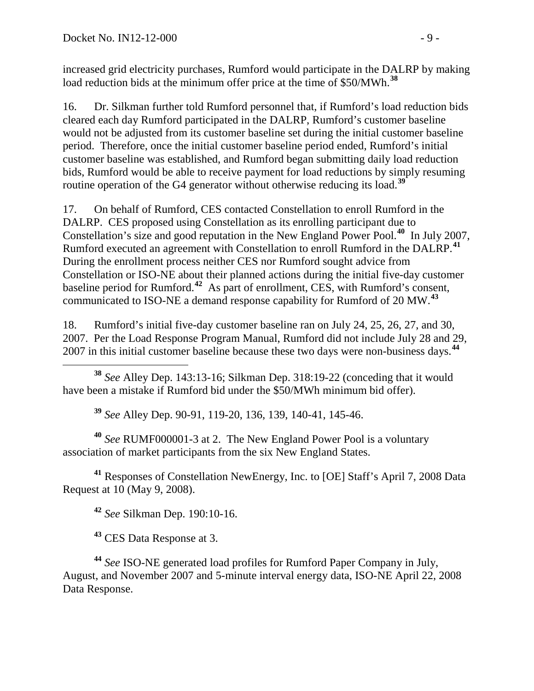increased grid electricity purchases, Rumford would participate in the DALRP by making load reduction bids at the minimum offer price at the time of \$50/MWh.<sup>[38](#page-8-0)</sup>

<span id="page-8-7"></span>16. Dr. Silkman further told Rumford personnel that, if Rumford's load reduction bids cleared each day Rumford participated in the DALRP, Rumford's customer baseline would not be adjusted from its customer baseline set during the initial customer baseline period. Therefore, once the initial customer baseline period ended, Rumford's initial customer baseline was established, and Rumford began submitting daily load reduction bids, Rumford would be able to receive payment for load reductions by simply resuming routine operation of the G4 generator without otherwise reducing its load.**[39](#page-8-1)**

17. On behalf of Rumford, CES contacted Constellation to enroll Rumford in the DALRP. CES proposed using Constellation as its enrolling participant due to Constellation's size and good reputation in the New England Power Pool.**[40](#page-8-2)** In July 2007, Rumford executed an agreement with Constellation to enroll Rumford in the DALRP.**[41](#page-8-3)** During the enrollment process neither CES nor Rumford sought advice from Constellation or ISO-NE about their planned actions during the initial five-day customer baseline period for Rumford.**[42](#page-8-4)** As part of enrollment, CES, with Rumford's consent, communicated to ISO-NE a demand response capability for Rumford of 20 MW.**[43](#page-8-5)**

18. Rumford's initial five-day customer baseline ran on July 24, 25, 26, 27, and 30, 2007. Per the Load Response Program Manual, Rumford did not include July 28 and 29, 2007 in this initial customer baseline because these two days were non-business days.**[44](#page-8-6)**

<span id="page-8-0"></span> **<sup>38</sup>** *See* Alley Dep. 143:13-16; Silkman Dep. 318:19-22 (conceding that it would have been a mistake if Rumford bid under the \$50/MWh minimum bid offer).

**<sup>39</sup>** *See* Alley Dep. 90-91, 119-20, 136, 139, 140-41, 145-46.

<span id="page-8-2"></span><span id="page-8-1"></span>**<sup>40</sup>** *See* RUMF000001-3 at 2. The New England Power Pool is a voluntary association of market participants from the six New England States.

<span id="page-8-4"></span><span id="page-8-3"></span>**<sup>41</sup>** Responses of Constellation NewEnergy, Inc. to [OE] Staff's April 7, 2008 Data Request at 10 (May 9, 2008).

**<sup>42</sup>** *See* Silkman Dep. 190:10-16.

**<sup>43</sup>** CES Data Response at 3.

<span id="page-8-6"></span><span id="page-8-5"></span>**<sup>44</sup>** *See* ISO-NE generated load profiles for Rumford Paper Company in July, August, and November 2007 and 5-minute interval energy data, ISO-NE April 22, 2008 Data Response.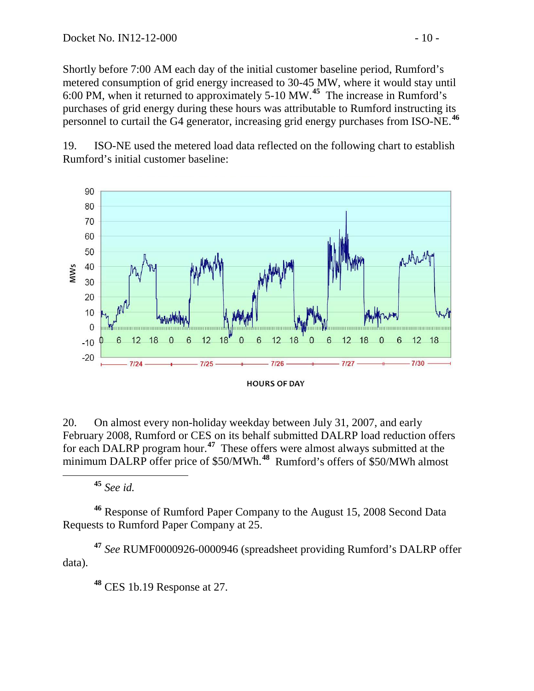Shortly before 7:00 AM each day of the initial customer baseline period, Rumford's metered consumption of grid energy increased to 30-45 MW, where it would stay until 6:00 PM, when it returned to approximately 5-10 MW.**[45](#page-9-0)** The increase in Rumford's purchases of grid energy during these hours was attributable to Rumford instructing its personnel to curtail the G4 generator, increasing grid energy purchases from ISO-NE. **[46](#page-9-1)**

19. ISO-NE used the metered load data reflected on the following chart to establish Rumford's initial customer baseline:



20. On almost every non-holiday weekday between July 31, 2007, and early February 2008, Rumford or CES on its behalf submitted DALRP load reduction offers for each DALRP program hour.**[47](#page-9-2)** These offers were almost always submitted at the minimum DALRP offer price of \$50/MWh.**[48](#page-9-3)** Rumford's offers of \$50/MWh almost

**<sup>45</sup>** *See id.*

<span id="page-9-1"></span><span id="page-9-0"></span>**<sup>46</sup>** Response of Rumford Paper Company to the August 15, 2008 Second Data Requests to Rumford Paper Company at 25.

<span id="page-9-3"></span><span id="page-9-2"></span>**<sup>47</sup>** *See* RUMF0000926-0000946 (spreadsheet providing Rumford's DALRP offer data).

**<sup>48</sup>** CES 1b.19 Response at 27.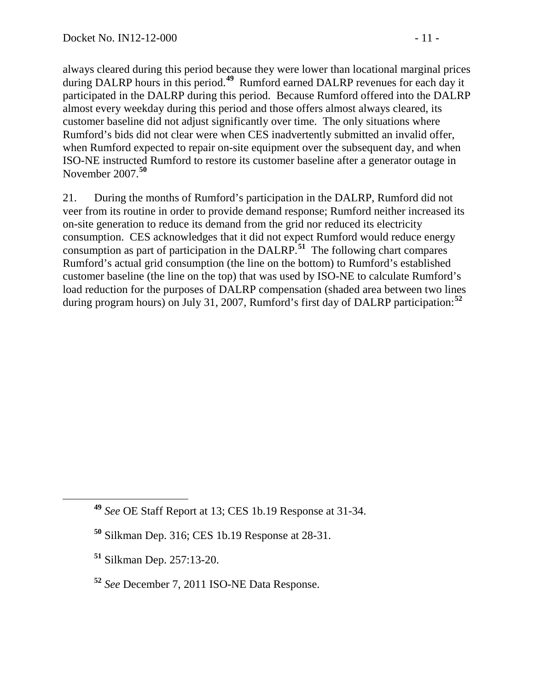always cleared during this period because they were lower than locational marginal prices during DALRP hours in this period.**[49](#page-10-0)** Rumford earned DALRP revenues for each day it participated in the DALRP during this period. Because Rumford offered into the DALRP almost every weekday during this period and those offers almost always cleared, its customer baseline did not adjust significantly over time. The only situations where Rumford's bids did not clear were when CES inadvertently submitted an invalid offer, when Rumford expected to repair on-site equipment over the subsequent day, and when ISO-NE instructed Rumford to restore its customer baseline after a generator outage in November 2007.**[50](#page-10-1)**

21. During the months of Rumford's participation in the DALRP, Rumford did not veer from its routine in order to provide demand response; Rumford neither increased its on-site generation to reduce its demand from the grid nor reduced its electricity consumption. CES acknowledges that it did not expect Rumford would reduce energy consumption as part of participation in the DALRP.**[51](#page-10-2)** The following chart compares Rumford's actual grid consumption (the line on the bottom) to Rumford's established customer baseline (the line on the top) that was used by ISO-NE to calculate Rumford's load reduction for the purposes of DALRP compensation (shaded area between two lines during program hours) on July 31, 2007, Rumford's first day of DALRP participation:**[52](#page-10-3)**

<span id="page-10-0"></span>**<sup>49</sup>** *See* OE Staff Report at 13; CES 1b.19 Response at 31-34.

<span id="page-10-1"></span>**<sup>50</sup>** Silkman Dep. 316; CES 1b.19 Response at 28-31.

<span id="page-10-2"></span>**<sup>51</sup>** Silkman Dep. 257:13-20.

<span id="page-10-3"></span>**<sup>52</sup>** *See* December 7, 2011 ISO-NE Data Response.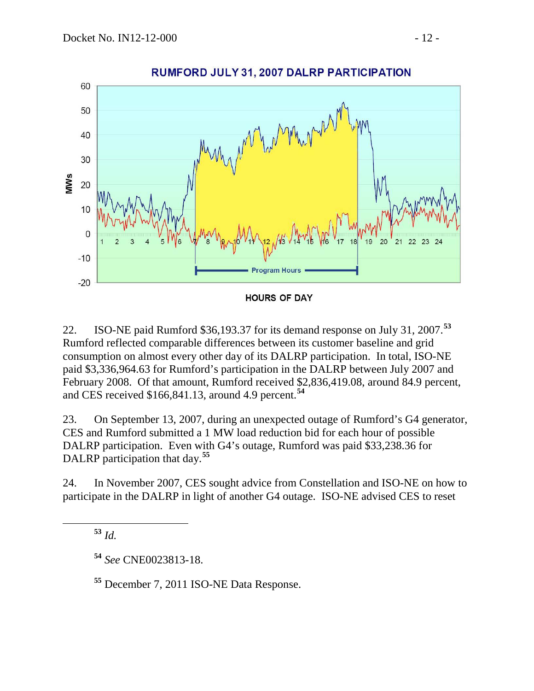

22. ISO-NE paid Rumford \$36,193.37 for its demand response on July 31, 2007. **[53](#page-11-0)** Rumford reflected comparable differences between its customer baseline and grid consumption on almost every other day of its DALRP participation. In total, ISO-NE paid \$3,336,964.63 for Rumford's participation in the DALRP between July 2007 and February 2008. Of that amount, Rumford received \$2,836,419.08, around 84.9 percent, and CES received \$166,841.13, around 4.9 percent. **[54](#page-11-1)**

23. On September 13, 2007, during an unexpected outage of Rumford's G4 generator, CES and Rumford submitted a 1 MW load reduction bid for each hour of possible DALRP participation. Even with G4's outage, Rumford was paid \$33,238.36 for DALRP participation that day.**[55](#page-11-2)**

<span id="page-11-0"></span>24. In November 2007, CES sought advice from Constellation and ISO-NE on how to participate in the DALRP in light of another G4 outage. ISO-NE advised CES to reset

**<sup>53</sup>** *Id.*

<span id="page-11-1"></span>**<sup>54</sup>** *See* CNE0023813-18.

<span id="page-11-2"></span>**<sup>55</sup>** December 7, 2011 ISO-NE Data Response.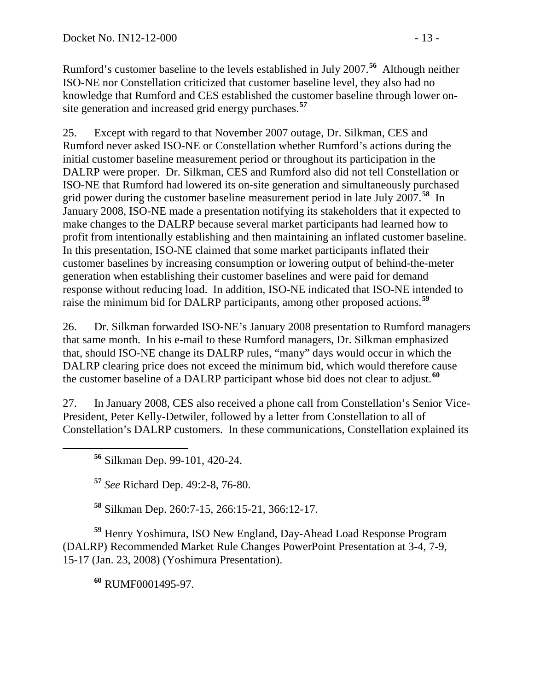Rumford's customer baseline to the levels established in July 2007.**[56](#page-12-0)** Although neither ISO-NE nor Constellation criticized that customer baseline level, they also had no knowledge that Rumford and CES established the customer baseline through lower onsite generation and increased grid energy purchases.**[57](#page-12-1)**

25. Except with regard to that November 2007 outage, Dr. Silkman, CES and Rumford never asked ISO-NE or Constellation whether Rumford's actions during the initial customer baseline measurement period or throughout its participation in the DALRP were proper. Dr. Silkman, CES and Rumford also did not tell Constellation or ISO-NE that Rumford had lowered its on-site generation and simultaneously purchased grid power during the customer baseline measurement period in late July 2007.**[58](#page-12-2)** In January 2008, ISO-NE made a presentation notifying its stakeholders that it expected to make changes to the DALRP because several market participants had learned how to profit from intentionally establishing and then maintaining an inflated customer baseline. In this presentation, ISO-NE claimed that some market participants inflated their customer baselines by increasing consumption or lowering output of behind-the-meter generation when establishing their customer baselines and were paid for demand response without reducing load. In addition, ISO-NE indicated that ISO-NE intended to raise the minimum bid for DALRP participants, among other proposed actions. **[59](#page-12-3)**

26. Dr. Silkman forwarded ISO-NE's January 2008 presentation to Rumford managers that same month. In his e-mail to these Rumford managers, Dr. Silkman emphasized that, should ISO-NE change its DALRP rules, "many" days would occur in which the DALRP clearing price does not exceed the minimum bid, which would therefore cause the customer baseline of a DALRP participant whose bid does not clear to adjust. **[60](#page-12-4)**

<span id="page-12-0"></span>27. In January 2008, CES also received a phone call from Constellation's Senior Vice-President, Peter Kelly-Detwiler, followed by a letter from Constellation to all of Constellation's DALRP customers. In these communications, Constellation explained its

**<sup>56</sup>** Silkman Dep. 99-101, 420-24.

**<sup>57</sup>** *See* Richard Dep. 49:2-8, 76-80.

**<sup>58</sup>** Silkman Dep. 260:7-15, 266:15-21, 366:12-17.

<span id="page-12-4"></span><span id="page-12-3"></span><span id="page-12-2"></span><span id="page-12-1"></span>**<sup>59</sup>** Henry Yoshimura, ISO New England, Day-Ahead Load Response Program (DALRP) Recommended Market Rule Changes PowerPoint Presentation at 3-4, 7-9, 15-17 (Jan. 23, 2008) (Yoshimura Presentation).

**<sup>60</sup>** RUMF0001495-97.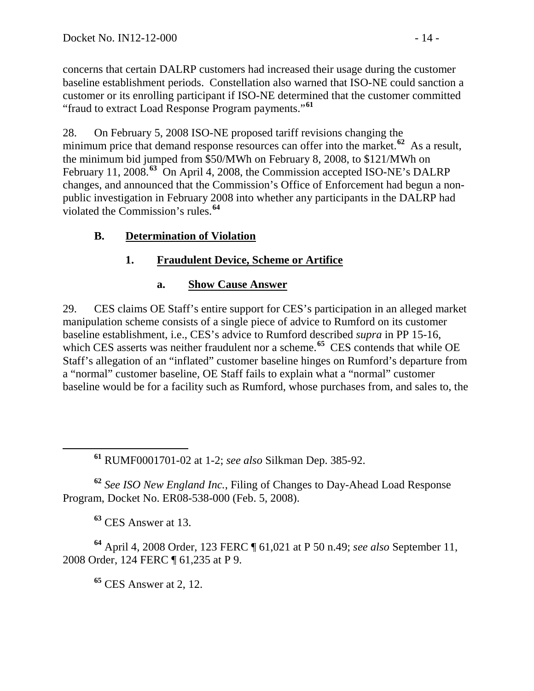concerns that certain DALRP customers had increased their usage during the customer baseline establishment periods. Constellation also warned that ISO-NE could sanction a customer or its enrolling participant if ISO-NE determined that the customer committed "fraud to extract Load Response Program payments."**[61](#page-13-0)**

28. On February 5, 2008 ISO-NE proposed tariff revisions changing the minimum price that demand response resources can offer into the market.<sup>[62](#page-13-1)</sup> As a result, the minimum bid jumped from \$50/MWh on February 8, 2008, to \$121/MWh on February 11, 2008.**[63](#page-13-2)** On April 4, 2008, the Commission accepted ISO-NE's DALRP changes, and announced that the Commission's Office of Enforcement had begun a nonpublic investigation in February 2008 into whether any participants in the DALRP had violated the Commission's rules.**[64](#page-13-3)**

# **B. Determination of Violation**

# **1. Fraudulent Device, Scheme or Artifice**

## **a. Show Cause Answer**

29. CES claims OE Staff's entire support for CES's participation in an alleged market manipulation scheme consists of a single piece of advice to Rumford on its customer baseline establishment, i.e., CES's advice to Rumford described *supra* in PP [15](#page-7-8)[-16,](#page-8-7) which CES asserts was neither fraudulent nor a scheme.<sup>[65](#page-13-4)</sup> CES contends that while OE Staff's allegation of an "inflated" customer baseline hinges on Rumford's departure from a "normal" customer baseline, OE Staff fails to explain what a "normal" customer baseline would be for a facility such as Rumford, whose purchases from, and sales to, the

**<sup>61</sup>** RUMF0001701-02 at 1-2; *see also* Silkman Dep. 385-92.

<span id="page-13-1"></span><span id="page-13-0"></span>**<sup>62</sup>** *See ISO New England Inc.*, Filing of Changes to Day-Ahead Load Response Program, Docket No. ER08-538-000 (Feb. 5, 2008).

**<sup>63</sup>** CES Answer at 13.

<span id="page-13-4"></span><span id="page-13-3"></span><span id="page-13-2"></span>**<sup>64</sup>** April 4, 2008 Order, 123 FERC ¶ 61,021 at P 50 n.49; *see also* September 11, 2008 Order, 124 FERC ¶ 61,235 at P 9.

**<sup>65</sup>** CES Answer at 2, 12.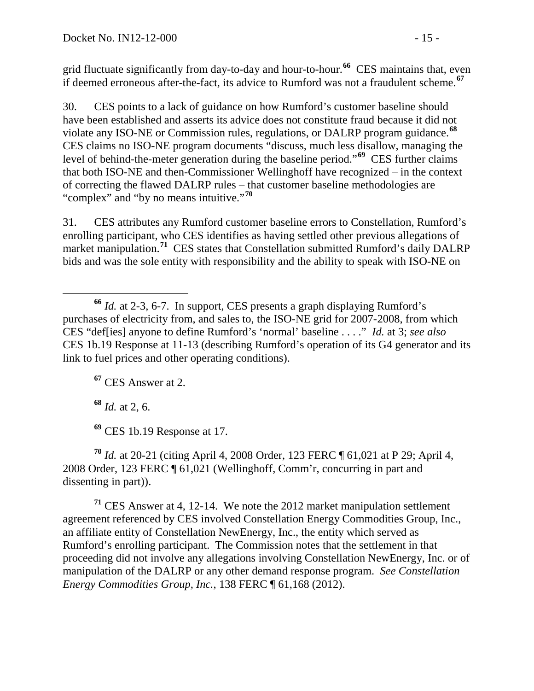grid fluctuate significantly from day-to-day and hour-to-hour.**[66](#page-14-0)** CES maintains that, even if deemed erroneous after-the-fact, its advice to Rumford was not a fraudulent scheme.**[67](#page-14-1)**

30. CES points to a lack of guidance on how Rumford's customer baseline should have been established and asserts its advice does not constitute fraud because it did not violate any ISO-NE or Commission rules, regulations, or DALRP program guidance.**[68](#page-14-2)** CES claims no ISO-NE program documents "discuss, much less disallow, managing the level of behind-the-meter generation during the baseline period."**[69](#page-14-3)** CES further claims that both ISO-NE and then-Commissioner Wellinghoff have recognized – in the context of correcting the flawed DALRP rules – that customer baseline methodologies are "complex" and "by no means intuitive."**[70](#page-14-4)**

31. CES attributes any Rumford customer baseline errors to Constellation, Rumford's enrolling participant, who CES identifies as having settled other previous allegations of market manipulation. **[71](#page-14-5)** CES states that Constellation submitted Rumford's daily DALRP bids and was the sole entity with responsibility and the ability to speak with ISO-NE on

<span id="page-14-1"></span>**<sup>67</sup>** CES Answer at 2.

**<sup>68</sup>** *Id.* at 2, 6.

**<sup>69</sup>** CES 1b.19 Response at 17.

<span id="page-14-4"></span><span id="page-14-3"></span><span id="page-14-2"></span>**<sup>70</sup>** *Id.* at 20-21 (citing April 4, 2008 Order, 123 FERC ¶ 61,021 at P 29; April 4, 2008 Order, 123 FERC ¶ 61,021 (Wellinghoff, Comm'r, concurring in part and dissenting in part)).

<span id="page-14-5"></span>**<sup>71</sup>** CES Answer at 4, 12-14. We note the 2012 market manipulation settlement agreement referenced by CES involved Constellation Energy Commodities Group, Inc., an affiliate entity of Constellation NewEnergy, Inc., the entity which served as Rumford's enrolling participant. The Commission notes that the settlement in that proceeding did not involve any allegations involving Constellation NewEnergy, Inc. or of manipulation of the DALRP or any other demand response program. *See Constellation Energy Commodities Group, Inc.*, 138 FERC ¶ 61,168 (2012).

<span id="page-14-0"></span>**<sup>66</sup>** *Id.* at 2-3, 6-7. In support, CES presents a graph displaying Rumford's purchases of electricity from, and sales to, the ISO-NE grid for 2007-2008, from which CES "def[ies] anyone to define Rumford's 'normal' baseline . . . ." *Id.* at 3; *see also* CES 1b.19 Response at 11-13 (describing Rumford's operation of its G4 generator and its link to fuel prices and other operating conditions).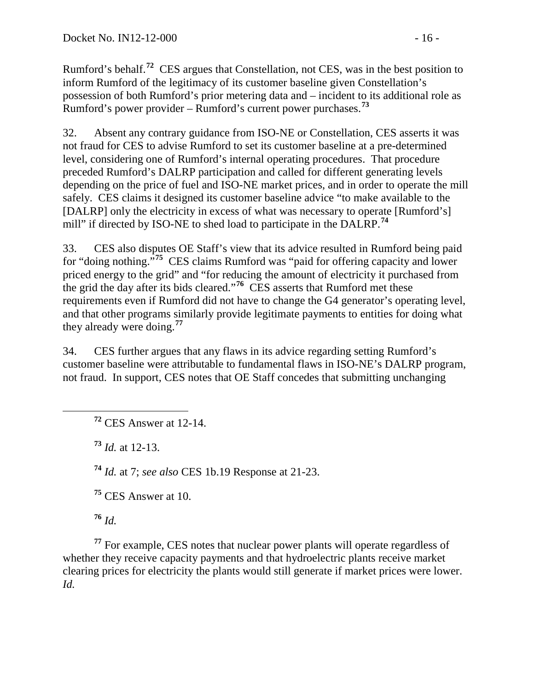Rumford's behalf.**[72](#page-15-0)** CES argues that Constellation, not CES, was in the best position to inform Rumford of the legitimacy of its customer baseline given Constellation's possession of both Rumford's prior metering data and – incident to its additional role as Rumford's power provider – Rumford's current power purchases.**[73](#page-15-1)**

32. Absent any contrary guidance from ISO-NE or Constellation, CES asserts it was not fraud for CES to advise Rumford to set its customer baseline at a pre-determined level, considering one of Rumford's internal operating procedures. That procedure preceded Rumford's DALRP participation and called for different generating levels depending on the price of fuel and ISO-NE market prices, and in order to operate the mill safely. CES claims it designed its customer baseline advice "to make available to the [DALRP] only the electricity in excess of what was necessary to operate [Rumford's] mill" if directed by ISO-NE to shed load to participate in the DALRP. **[74](#page-15-2)**

33. CES also disputes OE Staff's view that its advice resulted in Rumford being paid for "doing nothing."**[75](#page-15-3)** CES claims Rumford was "paid for offering capacity and lower priced energy to the grid" and "for reducing the amount of electricity it purchased from the grid the day after its bids cleared."**[76](#page-15-4)** CES asserts that Rumford met these requirements even if Rumford did not have to change the G4 generator's operating level, and that other programs similarly provide legitimate payments to entities for doing what they already were doing. **[77](#page-15-5)**

34. CES further argues that any flaws in its advice regarding setting Rumford's customer baseline were attributable to fundamental flaws in ISO-NE's DALRP program, not fraud. In support, CES notes that OE Staff concedes that submitting unchanging

<span id="page-15-0"></span>**<sup>72</sup>** CES Answer at 12-14.

<span id="page-15-1"></span>**<sup>73</sup>** *Id.* at 12-13.

<span id="page-15-2"></span>**<sup>74</sup>** *Id.* at 7; *see also* CES 1b.19 Response at 21-23.

**<sup>75</sup>** CES Answer at 10.

**<sup>76</sup>** *Id.*

<span id="page-15-5"></span><span id="page-15-4"></span><span id="page-15-3"></span>**<sup>77</sup>** For example, CES notes that nuclear power plants will operate regardless of whether they receive capacity payments and that hydroelectric plants receive market clearing prices for electricity the plants would still generate if market prices were lower. *Id.*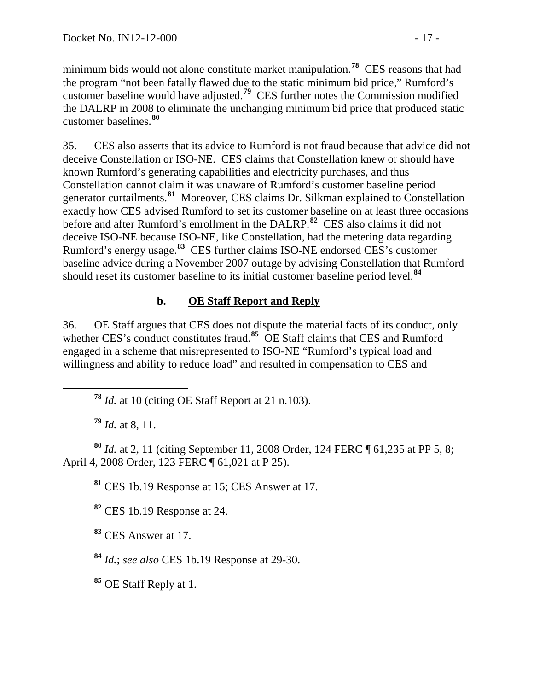minimum bids would not alone constitute market manipulation.**[78](#page-16-0)** CES reasons that had the program "not been fatally flawed due to the static minimum bid price," Rumford's customer baseline would have adjusted.**[79](#page-16-1)** CES further notes the Commission modified the DALRP in 2008 to eliminate the unchanging minimum bid price that produced static customer baselines.**[80](#page-16-2)**

35. CES also asserts that its advice to Rumford is not fraud because that advice did not deceive Constellation or ISO-NE. CES claims that Constellation knew or should have known Rumford's generating capabilities and electricity purchases, and thus Constellation cannot claim it was unaware of Rumford's customer baseline period generator curtailments.**[81](#page-16-3)** Moreover, CES claims Dr. Silkman explained to Constellation exactly how CES advised Rumford to set its customer baseline on at least three occasions before and after Rumford's enrollment in the DALRP. **[82](#page-16-4)** CES also claims it did not deceive ISO-NE because ISO-NE, like Constellation, had the metering data regarding Rumford's energy usage.**[83](#page-16-5)** CES further claims ISO-NE endorsed CES's customer baseline advice during a November 2007 outage by advising Constellation that Rumford should reset its customer baseline to its initial customer baseline period level.**[84](#page-16-6)**

# **b. OE Staff Report and Reply**

36. OE Staff argues that CES does not dispute the material facts of its conduct, only whether CES's conduct constitutes fraud.<sup>[85](#page-16-7)</sup> OE Staff claims that CES and Rumford engaged in a scheme that misrepresented to ISO-NE "Rumford's typical load and willingness and ability to reduce load" and resulted in compensation to CES and

**<sup>79</sup>** *Id.* at 8, 11.

<span id="page-16-4"></span><span id="page-16-3"></span><span id="page-16-2"></span><span id="page-16-1"></span><span id="page-16-0"></span>**<sup>80</sup>** *Id.* at 2, 11 (citing September 11, 2008 Order, 124 FERC ¶ 61,235 at PP 5, 8; April 4, 2008 Order, 123 FERC ¶ 61,021 at P 25).

**<sup>81</sup>** CES 1b.19 Response at 15; CES Answer at 17.

**<sup>82</sup>** CES 1b.19 Response at 24.

<span id="page-16-5"></span>**<sup>83</sup>** CES Answer at 17.

<span id="page-16-6"></span>**<sup>84</sup>** *Id.*; *see also* CES 1b.19 Response at 29-30.

<span id="page-16-7"></span>**<sup>85</sup>** OE Staff Reply at 1.

**<sup>78</sup>** *Id.* at 10 (citing OE Staff Report at 21 n.103).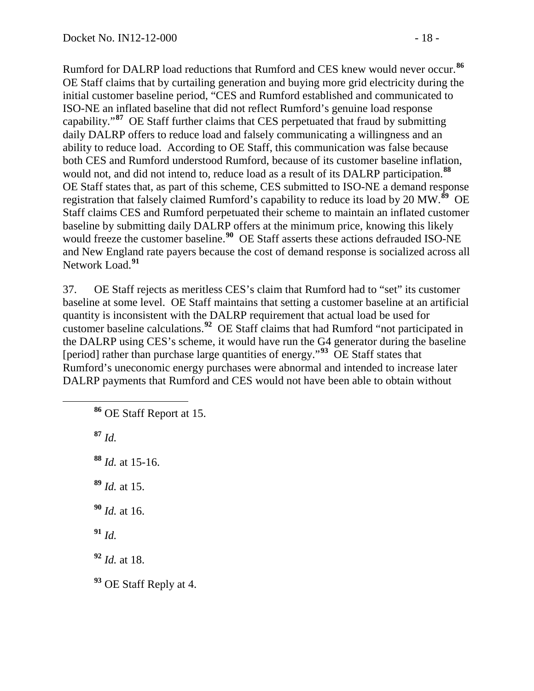Rumford for DALRP load reductions that Rumford and CES knew would never occur.**[86](#page-17-0)** OE Staff claims that by curtailing generation and buying more grid electricity during the initial customer baseline period, "CES and Rumford established and communicated to ISO-NE an inflated baseline that did not reflect Rumford's genuine load response capability."**[87](#page-17-1)** OE Staff further claims that CES perpetuated that fraud by submitting daily DALRP offers to reduce load and falsely communicating a willingness and an ability to reduce load. According to OE Staff, this communication was false because both CES and Rumford understood Rumford, because of its customer baseline inflation, would not, and did not intend to, reduce load as a result of its DALRP participation.**[88](#page-17-2)** OE Staff states that, as part of this scheme, CES submitted to ISO-NE a demand response registration that falsely claimed Rumford's capability to reduce its load by 20 MW.**[89](#page-17-3)** OE Staff claims CES and Rumford perpetuated their scheme to maintain an inflated customer baseline by submitting daily DALRP offers at the minimum price, knowing this likely would freeze the customer baseline.<sup>[90](#page-17-4)</sup> OE Staff asserts these actions defrauded ISO-NE and New England rate payers because the cost of demand response is socialized across all Network Load.**[91](#page-17-5)**

37. OE Staff rejects as meritless CES's claim that Rumford had to "set" its customer baseline at some level. OE Staff maintains that setting a customer baseline at an artificial quantity is inconsistent with the DALRP requirement that actual load be used for customer baseline calculations.**[92](#page-17-6)** OE Staff claims that had Rumford "not participated in the DALRP using CES's scheme, it would have run the G4 generator during the baseline [period] rather than purchase large quantities of energy."**[93](#page-17-7)** OE Staff states that Rumford's uneconomic energy purchases were abnormal and intended to increase later DALRP payments that Rumford and CES would not have been able to obtain without

<span id="page-17-0"></span>**<sup>86</sup>** OE Staff Report at 15.

<span id="page-17-1"></span>**<sup>87</sup>** *Id.*

- <span id="page-17-2"></span>**<sup>88</sup>** *Id.* at 15-16.
- <span id="page-17-3"></span>**<sup>89</sup>** *Id.* at 15.
- <span id="page-17-4"></span>**<sup>90</sup>** *Id.* at 16.
- <span id="page-17-5"></span>**<sup>91</sup>** *Id.*
- <span id="page-17-6"></span>**<sup>92</sup>** *Id.* at 18.
- <span id="page-17-7"></span>**<sup>93</sup>** OE Staff Reply at 4.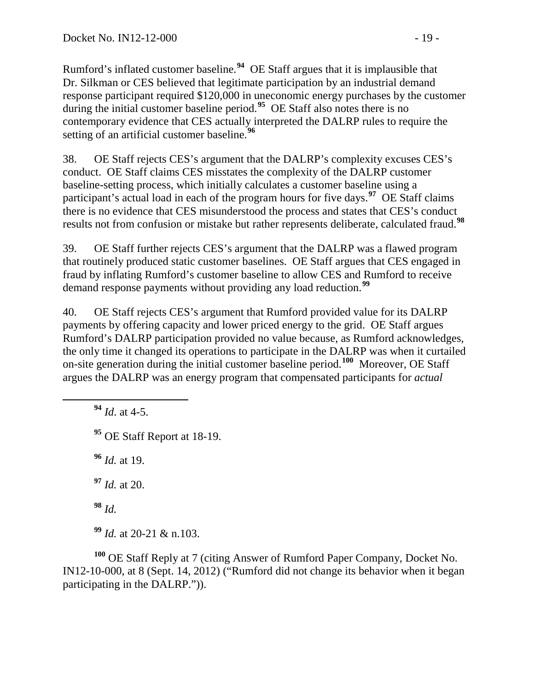Rumford's inflated customer baseline.**[94](#page-18-0)** OE Staff argues that it is implausible that Dr. Silkman or CES believed that legitimate participation by an industrial demand response participant required \$120,000 in uneconomic energy purchases by the customer during the initial customer baseline period.<sup>[95](#page-18-1)</sup> OE Staff also notes there is no contemporary evidence that CES actually interpreted the DALRP rules to require the setting of an artificial customer baseline.**[96](#page-18-2)**

38. OE Staff rejects CES's argument that the DALRP's complexity excuses CES's conduct. OE Staff claims CES misstates the complexity of the DALRP customer baseline-setting process, which initially calculates a customer baseline using a participant's actual load in each of the program hours for five days.**[97](#page-18-3)** OE Staff claims there is no evidence that CES misunderstood the process and states that CES's conduct results not from confusion or mistake but rather represents deliberate, calculated fraud.**[98](#page-18-4)**

39. OE Staff further rejects CES's argument that the DALRP was a flawed program that routinely produced static customer baselines. OE Staff argues that CES engaged in fraud by inflating Rumford's customer baseline to allow CES and Rumford to receive demand response payments without providing any load reduction.**[99](#page-18-5)**

40. OE Staff rejects CES's argument that Rumford provided value for its DALRP payments by offering capacity and lower priced energy to the grid. OE Staff argues Rumford's DALRP participation provided no value because, as Rumford acknowledges, the only time it changed its operations to participate in the DALRP was when it curtailed on-site generation during the initial customer baseline period.**[100](#page-18-6)** Moreover, OE Staff argues the DALRP was an energy program that compensated participants for *actual* 

<span id="page-18-2"></span><span id="page-18-1"></span><span id="page-18-0"></span> **<sup>94</sup>** *Id*. at 4-5. OE Staff Report at 18-19. *Id.* at 19. *Id.* at 20. **<sup>98</sup>** *Id. Id.* at 20-21 & n.103.

<span id="page-18-6"></span><span id="page-18-5"></span><span id="page-18-4"></span><span id="page-18-3"></span>**<sup>100</sup>** OE Staff Reply at 7 (citing Answer of Rumford Paper Company, Docket No. IN12-10-000, at 8 (Sept. 14, 2012) ("Rumford did not change its behavior when it began participating in the DALRP.")).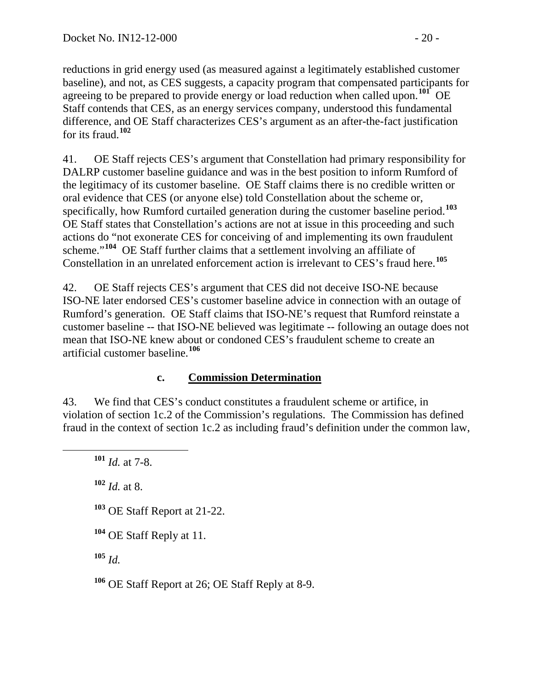reductions in grid energy used (as measured against a legitimately established customer baseline), and not, as CES suggests, a capacity program that compensated participants for agreeing to be prepared to provide energy or load reduction when called upon. **[101](#page-19-0)** OE Staff contends that CES, as an energy services company, understood this fundamental difference, and OE Staff characterizes CES's argument as an after-the-fact justification for its fraud.**[102](#page-19-1)**

41. OE Staff rejects CES's argument that Constellation had primary responsibility for DALRP customer baseline guidance and was in the best position to inform Rumford of the legitimacy of its customer baseline. OE Staff claims there is no credible written or oral evidence that CES (or anyone else) told Constellation about the scheme or, specifically, how Rumford curtailed generation during the customer baseline period.**[103](#page-19-2)** OE Staff states that Constellation's actions are not at issue in this proceeding and such actions do "not exonerate CES for conceiving of and implementing its own fraudulent scheme."**[104](#page-19-3)** OE Staff further claims that a settlement involving an affiliate of Constellation in an unrelated enforcement action is irrelevant to CES's fraud here. **[105](#page-19-4)**

42. OE Staff rejects CES's argument that CES did not deceive ISO-NE because ISO-NE later endorsed CES's customer baseline advice in connection with an outage of Rumford's generation. OE Staff claims that ISO-NE's request that Rumford reinstate a customer baseline -- that ISO-NE believed was legitimate -- following an outage does not mean that ISO-NE knew about or condoned CES's fraudulent scheme to create an artificial customer baseline.**[106](#page-19-5)**

## **c. Commission Determination**

<span id="page-19-0"></span>43. We find that CES's conduct constitutes a fraudulent scheme or artifice, in violation of section 1c.2 of the Commission's regulations. The Commission has defined fraud in the context of section 1c.2 as including fraud's definition under the common law,

<span id="page-19-1"></span>**<sup>102</sup>** *Id.* at 8.

<span id="page-19-2"></span>**<sup>103</sup>** OE Staff Report at 21-22.

<span id="page-19-4"></span>**<sup>105</sup>** *Id.*

<span id="page-19-5"></span>**<sup>106</sup>** OE Staff Report at 26; OE Staff Reply at 8-9.

**<sup>101</sup>** *Id.* at 7-8.

<span id="page-19-3"></span>**<sup>104</sup>** OE Staff Reply at 11.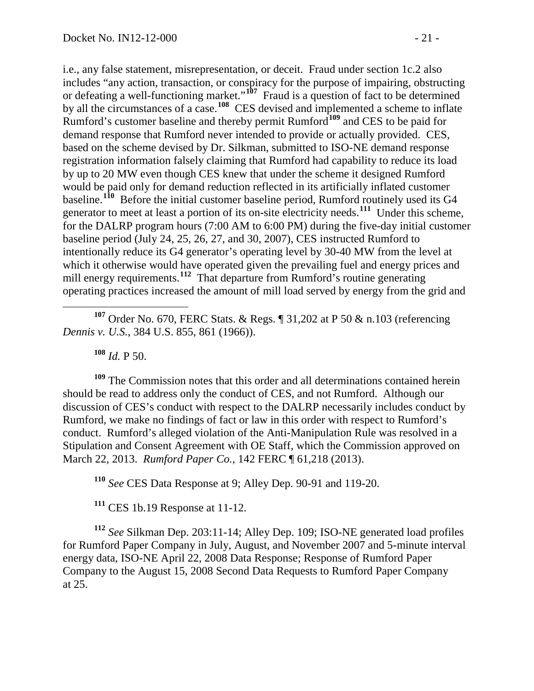i.e., any false statement, misrepresentation, or deceit. Fraud under section 1c.2 also includes "any action, transaction, or conspiracy for the purpose of impairing, obstructing or defeating a well-functioning market."**[107](#page-20-0)** Fraud is a question of fact to be determined by all the circumstances of a case.<sup>[108](#page-20-1)</sup> CES devised and implemented a scheme to inflate Rumford's customer baseline and thereby permit Rumford**[109](#page-20-2)** and CES to be paid for demand response that Rumford never intended to provide or actually provided. CES, based on the scheme devised by Dr. Silkman, submitted to ISO-NE demand response registration information falsely claiming that Rumford had capability to reduce its load by up to 20 MW even though CES knew that under the scheme it designed Rumford would be paid only for demand reduction reflected in its artificially inflated customer baseline.<sup>[110](#page-20-3)</sup> Before the initial customer baseline period, Rumford routinely used its G4 generator to meet at least a portion of its on-site electricity needs.**[111](#page-20-4)** Under this scheme, for the DALRP program hours (7:00 AM to 6:00 PM) during the five-day initial customer baseline period (July 24, 25, 26, 27, and 30, 2007), CES instructed Rumford to intentionally reduce its G4 generator's operating level by 30-40 MW from the level at which it otherwise would have operated given the prevailing fuel and energy prices and mill energy requirements.**[112](#page-20-5)** That departure from Rumford's routine generating operating practices increased the amount of mill load served by energy from the grid and

<span id="page-20-0"></span> **<sup>107</sup>** Order No. 670, FERC Stats. & Regs. ¶ 31,202 at P 50 & n.103 (referencing *Dennis v. U.S.*, 384 U.S. 855, 861 (1966)).

**<sup>108</sup>** *Id.* P 50.

<span id="page-20-2"></span><span id="page-20-1"></span>**<sup>109</sup>** The Commission notes that this order and all determinations contained herein should be read to address only the conduct of CES, and not Rumford. Although our discussion of CES's conduct with respect to the DALRP necessarily includes conduct by Rumford, we make no findings of fact or law in this order with respect to Rumford's conduct. Rumford's alleged violation of the Anti-Manipulation Rule was resolved in a Stipulation and Consent Agreement with OE Staff, which the Commission approved on March 22, 2013. *Rumford Paper Co.*, 142 FERC ¶ 61,218 (2013).

**<sup>110</sup>** *See* CES Data Response at 9; Alley Dep. 90-91 and 119-20.

**<sup>111</sup>** CES 1b.19 Response at 11-12.

<span id="page-20-5"></span><span id="page-20-4"></span><span id="page-20-3"></span>**<sup>112</sup>** *See* Silkman Dep. 203:11-14; Alley Dep. 109; ISO-NE generated load profiles for Rumford Paper Company in July, August, and November 2007 and 5-minute interval energy data, ISO-NE April 22, 2008 Data Response; Response of Rumford Paper Company to the August 15, 2008 Second Data Requests to Rumford Paper Company at 25.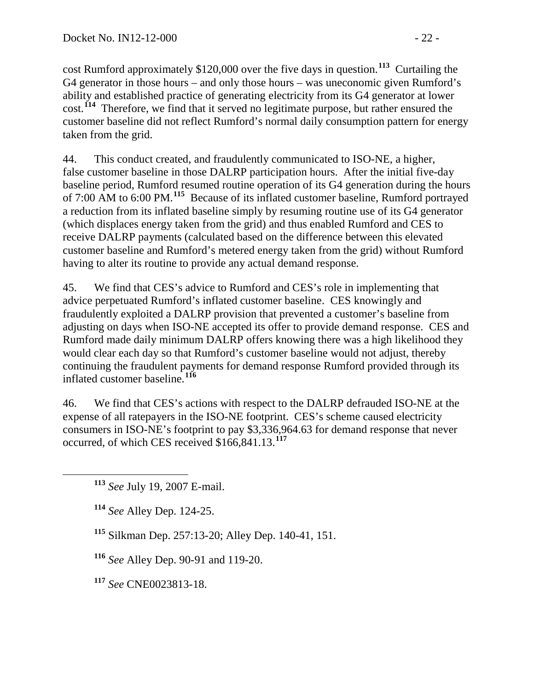cost Rumford approximately \$120,000 over the five days in question.**[113](#page-21-0)** Curtailing the G4 generator in those hours – and only those hours – was uneconomic given Rumford's ability and established practice of generating electricity from its G4 generator at lower cost.**[114](#page-21-1)** Therefore, we find that it served no legitimate purpose, but rather ensured the customer baseline did not reflect Rumford's normal daily consumption pattern for energy taken from the grid.

44. This conduct created, and fraudulently communicated to ISO-NE, a higher, false customer baseline in those DALRP participation hours. After the initial five-day baseline period, Rumford resumed routine operation of its G4 generation during the hours of 7:00 AM to 6:00 PM.**[115](#page-21-2)** Because of its inflated customer baseline, Rumford portrayed a reduction from its inflated baseline simply by resuming routine use of its G4 generator (which displaces energy taken from the grid) and thus enabled Rumford and CES to receive DALRP payments (calculated based on the difference between this elevated customer baseline and Rumford's metered energy taken from the grid) without Rumford having to alter its routine to provide any actual demand response.

45. We find that CES's advice to Rumford and CES's role in implementing that advice perpetuated Rumford's inflated customer baseline. CES knowingly and fraudulently exploited a DALRP provision that prevented a customer's baseline from adjusting on days when ISO-NE accepted its offer to provide demand response. CES and Rumford made daily minimum DALRP offers knowing there was a high likelihood they would clear each day so that Rumford's customer baseline would not adjust, thereby continuing the fraudulent payments for demand response Rumford provided through its inflated customer baseline. **[116](#page-21-3)**

46. We find that CES's actions with respect to the DALRP defrauded ISO-NE at the expense of all ratepayers in the ISO-NE footprint. CES's scheme caused electricity consumers in ISO-NE's footprint to pay \$3,336,964.63 for demand response that never occurred, of which CES received \$166,841.13.**[117](#page-21-4)**

- <span id="page-21-1"></span>**<sup>114</sup>** *See* Alley Dep. 124-25.
- <span id="page-21-2"></span>**<sup>115</sup>** Silkman Dep. 257:13-20; Alley Dep. 140-41, 151.
- <span id="page-21-3"></span>**<sup>116</sup>** *See* Alley Dep. 90-91 and 119-20.
- <span id="page-21-4"></span>**<sup>117</sup>** *See* CNE0023813-18.

<span id="page-21-0"></span>**<sup>113</sup>** *See* July 19, 2007 E-mail.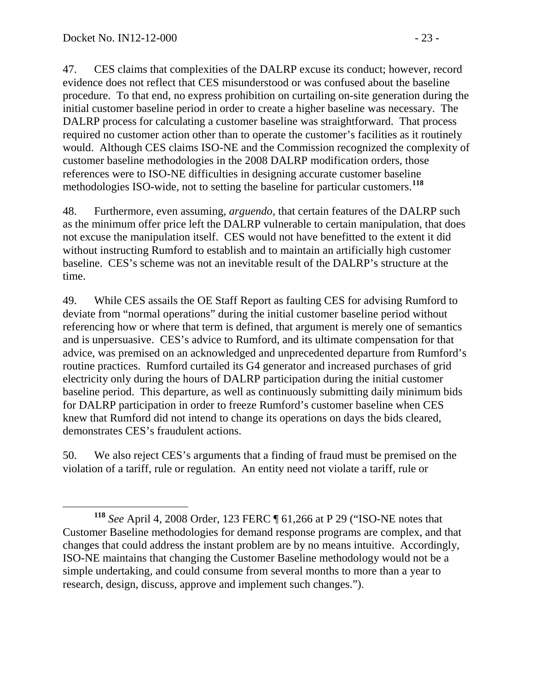47. CES claims that complexities of the DALRP excuse its conduct; however, record evidence does not reflect that CES misunderstood or was confused about the baseline procedure. To that end, no express prohibition on curtailing on-site generation during the initial customer baseline period in order to create a higher baseline was necessary. The DALRP process for calculating a customer baseline was straightforward. That process required no customer action other than to operate the customer's facilities as it routinely would. Although CES claims ISO-NE and the Commission recognized the complexity of customer baseline methodologies in the 2008 DALRP modification orders, those references were to ISO-NE difficulties in designing accurate customer baseline methodologies ISO-wide, not to setting the baseline for particular customers.**[118](#page-22-0)**

48. Furthermore, even assuming, *arguendo*, that certain features of the DALRP such as the minimum offer price left the DALRP vulnerable to certain manipulation, that does not excuse the manipulation itself. CES would not have benefitted to the extent it did without instructing Rumford to establish and to maintain an artificially high customer baseline. CES's scheme was not an inevitable result of the DALRP's structure at the time.

49. While CES assails the OE Staff Report as faulting CES for advising Rumford to deviate from "normal operations" during the initial customer baseline period without referencing how or where that term is defined, that argument is merely one of semantics and is unpersuasive. CES's advice to Rumford, and its ultimate compensation for that advice, was premised on an acknowledged and unprecedented departure from Rumford's routine practices. Rumford curtailed its G4 generator and increased purchases of grid electricity only during the hours of DALRP participation during the initial customer baseline period. This departure, as well as continuously submitting daily minimum bids for DALRP participation in order to freeze Rumford's customer baseline when CES knew that Rumford did not intend to change its operations on days the bids cleared, demonstrates CES's fraudulent actions.

50. We also reject CES's arguments that a finding of fraud must be premised on the violation of a tariff, rule or regulation. An entity need not violate a tariff, rule or

<span id="page-22-0"></span>**<sup>118</sup>** *See* April 4, 2008 Order, 123 FERC ¶ 61,266 at P 29 ("ISO-NE notes that Customer Baseline methodologies for demand response programs are complex, and that changes that could address the instant problem are by no means intuitive. Accordingly, ISO-NE maintains that changing the Customer Baseline methodology would not be a simple undertaking, and could consume from several months to more than a year to research, design, discuss, approve and implement such changes.").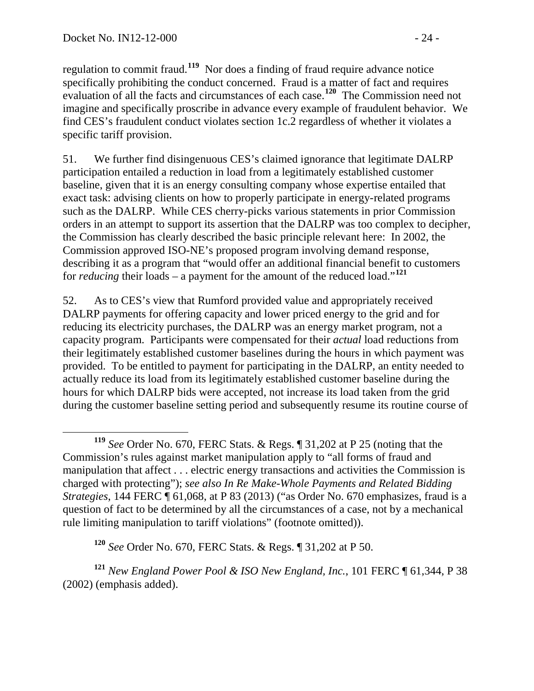regulation to commit fraud.**[119](#page-23-0)** Nor does a finding of fraud require advance notice specifically prohibiting the conduct concerned. Fraud is a matter of fact and requires evaluation of all the facts and circumstances of each case.**[120](#page-23-1)** The Commission need not imagine and specifically proscribe in advance every example of fraudulent behavior. We find CES's fraudulent conduct violates section 1c.2 regardless of whether it violates a specific tariff provision.

51. We further find disingenuous CES's claimed ignorance that legitimate DALRP participation entailed a reduction in load from a legitimately established customer baseline, given that it is an energy consulting company whose expertise entailed that exact task: advising clients on how to properly participate in energy-related programs such as the DALRP. While CES cherry-picks various statements in prior Commission orders in an attempt to support its assertion that the DALRP was too complex to decipher, the Commission has clearly described the basic principle relevant here: In 2002, the Commission approved ISO-NE's proposed program involving demand response, describing it as a program that "would offer an additional financial benefit to customers for *reducing* their loads – a payment for the amount of the reduced load."<sup>[121](#page-23-2)</sup>

52. As to CES's view that Rumford provided value and appropriately received DALRP payments for offering capacity and lower priced energy to the grid and for reducing its electricity purchases, the DALRP was an energy market program, not a capacity program. Participants were compensated for their *actual* load reductions from their legitimately established customer baselines during the hours in which payment was provided. To be entitled to payment for participating in the DALRP, an entity needed to actually reduce its load from its legitimately established customer baseline during the hours for which DALRP bids were accepted, not increase its load taken from the grid during the customer baseline setting period and subsequently resume its routine course of

**<sup>120</sup>** *See* Order No. 670, FERC Stats. & Regs. ¶ 31,202 at P 50.

<span id="page-23-2"></span><span id="page-23-1"></span>**<sup>121</sup>** *New England Power Pool & ISO New England, Inc.*, 101 FERC ¶ 61,344, P 38 (2002) (emphasis added).

<span id="page-23-0"></span>**<sup>119</sup>** *See* Order No. 670, FERC Stats. & Regs. ¶ 31,202 at P 25 (noting that the Commission's rules against market manipulation apply to "all forms of fraud and manipulation that affect . . . electric energy transactions and activities the Commission is charged with protecting"); *see also In Re Make-Whole Payments and Related Bidding Strategies*, 144 FERC ¶ 61,068, at P 83 (2013) ("as Order No. 670 emphasizes, fraud is a question of fact to be determined by all the circumstances of a case, not by a mechanical rule limiting manipulation to tariff violations" (footnote omitted)).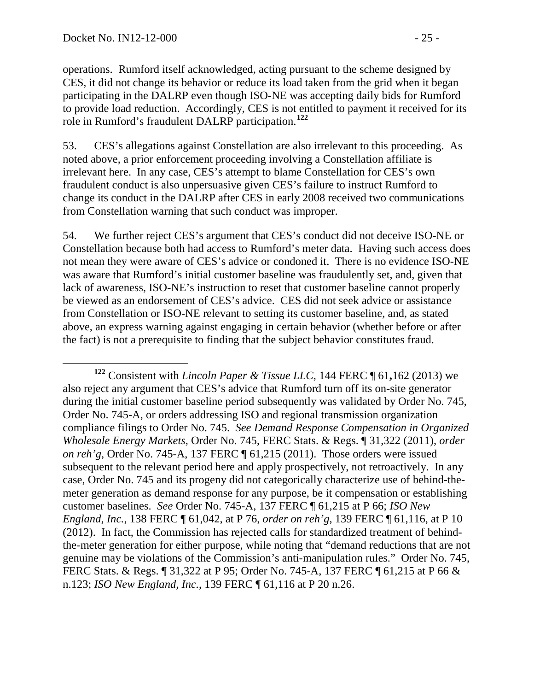operations. Rumford itself acknowledged, acting pursuant to the scheme designed by CES, it did not change its behavior or reduce its load taken from the grid when it began participating in the DALRP even though ISO-NE was accepting daily bids for Rumford to provide load reduction. Accordingly, CES is not entitled to payment it received for its role in Rumford's fraudulent DALRP participation.**[122](#page-24-0)**

53. CES's allegations against Constellation are also irrelevant to this proceeding. As noted above, a prior enforcement proceeding involving a Constellation affiliate is irrelevant here. In any case, CES's attempt to blame Constellation for CES's own fraudulent conduct is also unpersuasive given CES's failure to instruct Rumford to change its conduct in the DALRP after CES in early 2008 received two communications from Constellation warning that such conduct was improper.

54. We further reject CES's argument that CES's conduct did not deceive ISO-NE or Constellation because both had access to Rumford's meter data. Having such access does not mean they were aware of CES's advice or condoned it. There is no evidence ISO-NE was aware that Rumford's initial customer baseline was fraudulently set, and, given that lack of awareness, ISO-NE's instruction to reset that customer baseline cannot properly be viewed as an endorsement of CES's advice. CES did not seek advice or assistance from Constellation or ISO-NE relevant to setting its customer baseline, and, as stated above, an express warning against engaging in certain behavior (whether before or after the fact) is not a prerequisite to finding that the subject behavior constitutes fraud.

<span id="page-24-0"></span>**<sup>122</sup>** Consistent with *Lincoln Paper & Tissue LLC*, 144 FERC ¶ <sup>61</sup>**,**<sup>162</sup> (2013) we also reject any argument that CES's advice that Rumford turn off its on-site generator during the initial customer baseline period subsequently was validated by Order No. 745, Order No. 745-A, or orders addressing ISO and regional transmission organization compliance filings to Order No. 745. *See Demand Response Compensation in Organized Wholesale Energy Markets*, Order No. 745, FERC Stats. & Regs. ¶ 31,322 (2011), *order on reh'g*, Order No. 745-A, 137 FERC ¶ 61,215 (2011). Those orders were issued subsequent to the relevant period here and apply prospectively, not retroactively. In any case, Order No. 745 and its progeny did not categorically characterize use of behind-themeter generation as demand response for any purpose, be it compensation or establishing customer baselines. *See* Order No. 745-A, 137 FERC ¶ 61,215 at P 66; *ISO New England, Inc.*, 138 FERC ¶ 61,042, at P 76, *order on reh'g*, 139 FERC ¶ 61,116, at P 10 (2012). In fact, the Commission has rejected calls for standardized treatment of behindthe-meter generation for either purpose, while noting that "demand reductions that are not genuine may be violations of the Commission's anti-manipulation rules." Order No. 745, FERC Stats. & Regs. ¶ 31,322 at P 95; Order No. 745-A, 137 FERC ¶ 61,215 at P 66 & n.123; *ISO New England, Inc.*, 139 FERC ¶ 61,116 at P 20 n.26.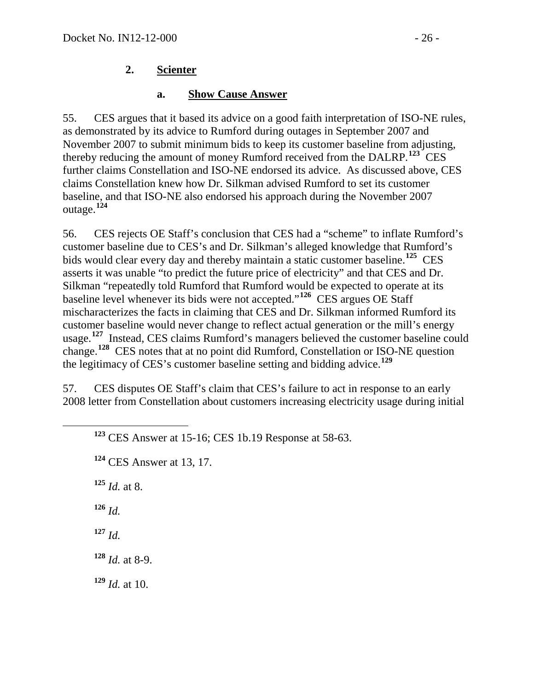## **2. Scienter**

### **a. Show Cause Answer**

55. CES argues that it based its advice on a good faith interpretation of ISO-NE rules, as demonstrated by its advice to Rumford during outages in September 2007 and November 2007 to submit minimum bids to keep its customer baseline from adjusting, thereby reducing the amount of money Rumford received from the DALRP.**[123](#page-25-0)** CES further claims Constellation and ISO-NE endorsed its advice. As discussed above, CES claims Constellation knew how Dr. Silkman advised Rumford to set its customer baseline, and that ISO-NE also endorsed his approach during the November 2007 outage.**[124](#page-25-1)**

56. CES rejects OE Staff's conclusion that CES had a "scheme" to inflate Rumford's customer baseline due to CES's and Dr. Silkman's alleged knowledge that Rumford's bids would clear every day and thereby maintain a static customer baseline.**[125](#page-25-2)** CES asserts it was unable "to predict the future price of electricity" and that CES and Dr. Silkman "repeatedly told Rumford that Rumford would be expected to operate at its baseline level whenever its bids were not accepted."**[126](#page-25-3)** CES argues OE Staff mischaracterizes the facts in claiming that CES and Dr. Silkman informed Rumford its customer baseline would never change to reflect actual generation or the mill's energy usage.<sup>[127](#page-25-4)</sup> Instead, CES claims Rumford's managers believed the customer baseline could change.**[128](#page-25-5)** CES notes that at no point did Rumford, Constellation or ISO-NE question the legitimacy of CES's customer baseline setting and bidding advice.**[129](#page-25-6)**

57. CES disputes OE Staff's claim that CES's failure to act in response to an early 2008 letter from Constellation about customers increasing electricity usage during initial

<span id="page-25-2"></span><span id="page-25-1"></span><span id="page-25-0"></span>

| $123$ CES Answer at 15-16; CES 1b.19 Response at 58-63. |  |  |
|---------------------------------------------------------|--|--|

**<sup>124</sup>** CES Answer at 13, 17.

**<sup>125</sup>** *Id.* at 8.

<span id="page-25-3"></span>**<sup>126</sup>** *Id.*

<span id="page-25-4"></span>**<sup>127</sup>** *Id.*

<span id="page-25-5"></span>**<sup>128</sup>** *Id.* at 8-9.

<span id="page-25-6"></span>**<sup>129</sup>** *Id.* at 10.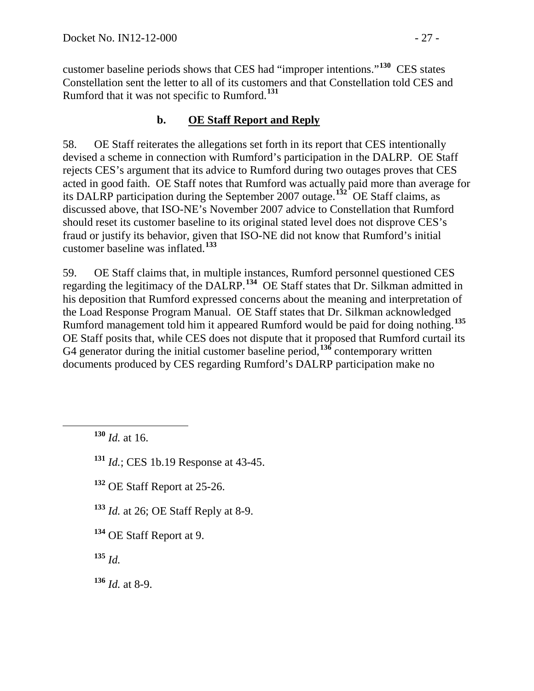customer baseline periods shows that CES had "improper intentions."**[130](#page-26-0)** CES states Constellation sent the letter to all of its customers and that Constellation told CES and Rumford that it was not specific to Rumford.**[131](#page-26-1)**

## **b. OE Staff Report and Reply**

58. OE Staff reiterates the allegations set forth in its report that CES intentionally devised a scheme in connection with Rumford's participation in the DALRP. OE Staff rejects CES's argument that its advice to Rumford during two outages proves that CES acted in good faith. OE Staff notes that Rumford was actually paid more than average for its DALRP participation during the September 2007 outage.**[132](#page-26-2)** OE Staff claims, as discussed above, that ISO-NE's November 2007 advice to Constellation that Rumford should reset its customer baseline to its original stated level does not disprove CES's fraud or justify its behavior, given that ISO-NE did not know that Rumford's initial customer baseline was inflated.**[133](#page-26-3)**

59. OE Staff claims that, in multiple instances, Rumford personnel questioned CES regarding the legitimacy of the DALRP.<sup>[134](#page-26-4)</sup> OE Staff states that Dr. Silkman admitted in his deposition that Rumford expressed concerns about the meaning and interpretation of the Load Response Program Manual. OE Staff states that Dr. Silkman acknowledged Rumford management told him it appeared Rumford would be paid for doing nothing.**[135](#page-26-5)** OE Staff posits that, while CES does not dispute that it proposed that Rumford curtail its G4 generator during the initial customer baseline period,**[136](#page-26-6)** contemporary written documents produced by CES regarding Rumford's DALRP participation make no

<span id="page-26-0"></span>**<sup>130</sup>** *Id.* at 16.

<span id="page-26-1"></span>**<sup>131</sup>** *Id.*; CES 1b.19 Response at 43-45.

<span id="page-26-2"></span>**<sup>132</sup>** OE Staff Report at 25-26.

<span id="page-26-3"></span>**<sup>133</sup>** *Id.* at 26; OE Staff Reply at 8-9.

<span id="page-26-4"></span>**<sup>134</sup>** OE Staff Report at 9.

<span id="page-26-5"></span>**<sup>135</sup>** *Id.*

<span id="page-26-6"></span>**<sup>136</sup>** *Id.* at 8-9.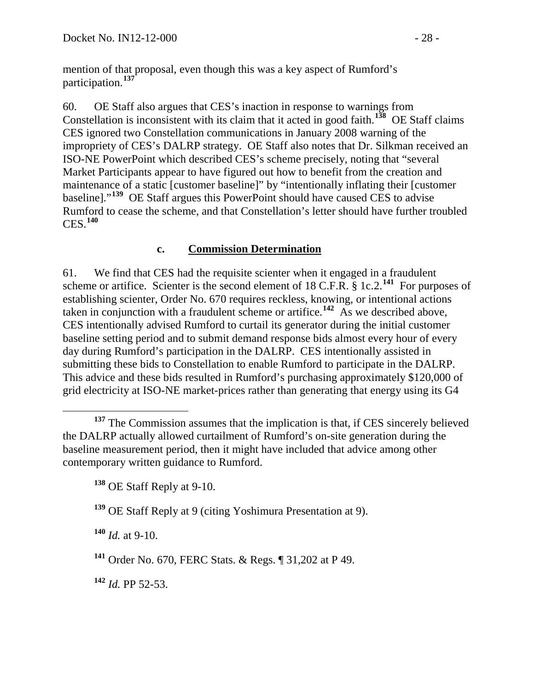mention of that proposal, even though this was a key aspect of Rumford's participation.**[137](#page-27-0)**

60. OE Staff also argues that CES's inaction in response to warnings from Constellation is inconsistent with its claim that it acted in good faith.**[138](#page-27-1)** OE Staff claims CES ignored two Constellation communications in January 2008 warning of the impropriety of CES's DALRP strategy. OE Staff also notes that Dr. Silkman received an ISO-NE PowerPoint which described CES's scheme precisely, noting that "several Market Participants appear to have figured out how to benefit from the creation and maintenance of a static [customer baseline]" by "intentionally inflating their [customer baseline]."**[139](#page-27-2)** OE Staff argues this PowerPoint should have caused CES to advise Rumford to cease the scheme, and that Constellation's letter should have further troubled CES.**[140](#page-27-3)**

## **c. Commission Determination**

61. We find that CES had the requisite scienter when it engaged in a fraudulent scheme or artifice. Scienter is the second element of 18 C.F.R. § 1c.2.**[141](#page-27-4)** For purposes of establishing scienter, Order No. 670 requires reckless, knowing, or intentional actions taken in conjunction with a fraudulent scheme or artifice.**[142](#page-27-5)** As we described above, CES intentionally advised Rumford to curtail its generator during the initial customer baseline setting period and to submit demand response bids almost every hour of every day during Rumford's participation in the DALRP. CES intentionally assisted in submitting these bids to Constellation to enable Rumford to participate in the DALRP. This advice and these bids resulted in Rumford's purchasing approximately \$120,000 of grid electricity at ISO-NE market-prices rather than generating that energy using its G4

<span id="page-27-3"></span>**<sup>140</sup>** *Id.* at 9-10.

<span id="page-27-5"></span>**<sup>142</sup>** *Id.* PP 52-53.

<span id="page-27-1"></span><span id="page-27-0"></span><sup>&</sup>lt;sup>137</sup> The Commission assumes that the implication is that, if CES sincerely believed the DALRP actually allowed curtailment of Rumford's on-site generation during the baseline measurement period, then it might have included that advice among other contemporary written guidance to Rumford.

**<sup>138</sup>** OE Staff Reply at 9-10.

<span id="page-27-2"></span>**<sup>139</sup>** OE Staff Reply at 9 (citing Yoshimura Presentation at 9).

<span id="page-27-4"></span>**<sup>141</sup>** Order No. 670, FERC Stats. & Regs. ¶ 31,202 at P 49.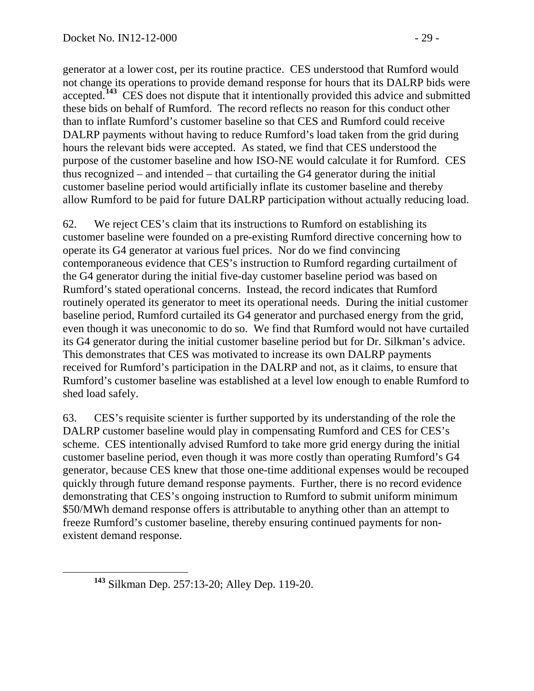generator at a lower cost, per its routine practice. CES understood that Rumford would not change its operations to provide demand response for hours that its DALRP bids were accepted.<sup>[143](#page-28-0)</sup> CES does not dispute that it intentionally provided this advice and submitted these bids on behalf of Rumford. The record reflects no reason for this conduct other than to inflate Rumford's customer baseline so that CES and Rumford could receive DALRP payments without having to reduce Rumford's load taken from the grid during hours the relevant bids were accepted. As stated, we find that CES understood the purpose of the customer baseline and how ISO-NE would calculate it for Rumford. CES thus recognized – and intended – that curtailing the G4 generator during the initial customer baseline period would artificially inflate its customer baseline and thereby allow Rumford to be paid for future DALRP participation without actually reducing load.

62. We reject CES's claim that its instructions to Rumford on establishing its customer baseline were founded on a pre-existing Rumford directive concerning how to operate its G4 generator at various fuel prices. Nor do we find convincing contemporaneous evidence that CES's instruction to Rumford regarding curtailment of the G4 generator during the initial five-day customer baseline period was based on Rumford's stated operational concerns. Instead, the record indicates that Rumford routinely operated its generator to meet its operational needs. During the initial customer baseline period, Rumford curtailed its G4 generator and purchased energy from the grid, even though it was uneconomic to do so. We find that Rumford would not have curtailed its G4 generator during the initial customer baseline period but for Dr. Silkman's advice. This demonstrates that CES was motivated to increase its own DALRP payments received for Rumford's participation in the DALRP and not, as it claims, to ensure that Rumford's customer baseline was established at a level low enough to enable Rumford to shed load safely.

63. CES's requisite scienter is further supported by its understanding of the role the DALRP customer baseline would play in compensating Rumford and CES for CES's scheme. CES intentionally advised Rumford to take more grid energy during the initial customer baseline period, even though it was more costly than operating Rumford's G4 generator, because CES knew that those one-time additional expenses would be recouped quickly through future demand response payments. Further, there is no record evidence demonstrating that CES's ongoing instruction to Rumford to submit uniform minimum \$50/MWh demand response offers is attributable to anything other than an attempt to freeze Rumford's customer baseline, thereby ensuring continued payments for nonexistent demand response.

<span id="page-28-0"></span>**<sup>143</sup>** Silkman Dep. 257:13-20; Alley Dep. 119-20.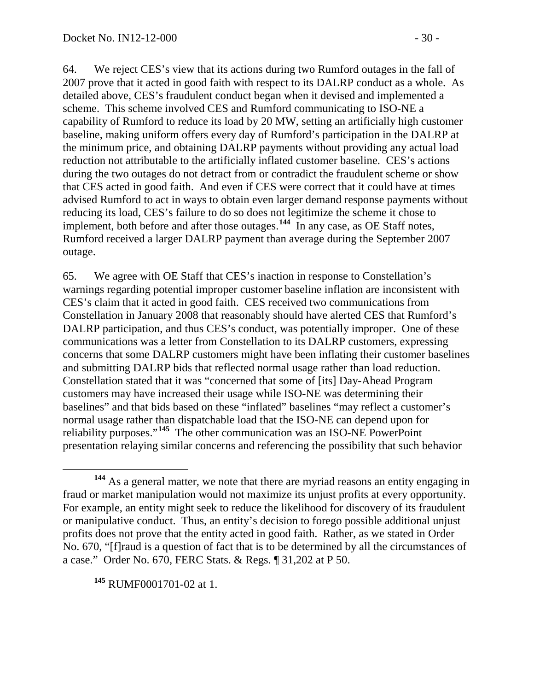64. We reject CES's view that its actions during two Rumford outages in the fall of 2007 prove that it acted in good faith with respect to its DALRP conduct as a whole. As detailed above, CES's fraudulent conduct began when it devised and implemented a scheme. This scheme involved CES and Rumford communicating to ISO-NE a capability of Rumford to reduce its load by 20 MW, setting an artificially high customer baseline, making uniform offers every day of Rumford's participation in the DALRP at the minimum price, and obtaining DALRP payments without providing any actual load reduction not attributable to the artificially inflated customer baseline. CES's actions during the two outages do not detract from or contradict the fraudulent scheme or show that CES acted in good faith. And even if CES were correct that it could have at times advised Rumford to act in ways to obtain even larger demand response payments without reducing its load, CES's failure to do so does not legitimize the scheme it chose to implement, both before and after those outages.<sup>[144](#page-29-0)</sup> In any case, as OE Staff notes, Rumford received a larger DALRP payment than average during the September 2007 outage.

<span id="page-29-2"></span>65. We agree with OE Staff that CES's inaction in response to Constellation's warnings regarding potential improper customer baseline inflation are inconsistent with CES's claim that it acted in good faith. CES received two communications from Constellation in January 2008 that reasonably should have alerted CES that Rumford's DALRP participation, and thus CES's conduct, was potentially improper. One of these communications was a letter from Constellation to its DALRP customers, expressing concerns that some DALRP customers might have been inflating their customer baselines and submitting DALRP bids that reflected normal usage rather than load reduction. Constellation stated that it was "concerned that some of [its] Day-Ahead Program customers may have increased their usage while ISO-NE was determining their baselines" and that bids based on these "inflated" baselines "may reflect a customer's normal usage rather than dispatchable load that the ISO-NE can depend upon for reliability purposes."**[145](#page-29-1)** The other communication was an ISO-NE PowerPoint presentation relaying similar concerns and referencing the possibility that such behavior

<span id="page-29-1"></span>**<sup>145</sup>** RUMF0001701-02 at 1.

<span id="page-29-0"></span>**<sup>144</sup>** As a general matter, we note that there are myriad reasons an entity engaging in fraud or market manipulation would not maximize its unjust profits at every opportunity. For example, an entity might seek to reduce the likelihood for discovery of its fraudulent or manipulative conduct. Thus, an entity's decision to forego possible additional unjust profits does not prove that the entity acted in good faith. Rather, as we stated in Order No. 670, "[f]raud is a question of fact that is to be determined by all the circumstances of a case." Order No. 670, FERC Stats. & Regs. ¶ 31,202 at P 50.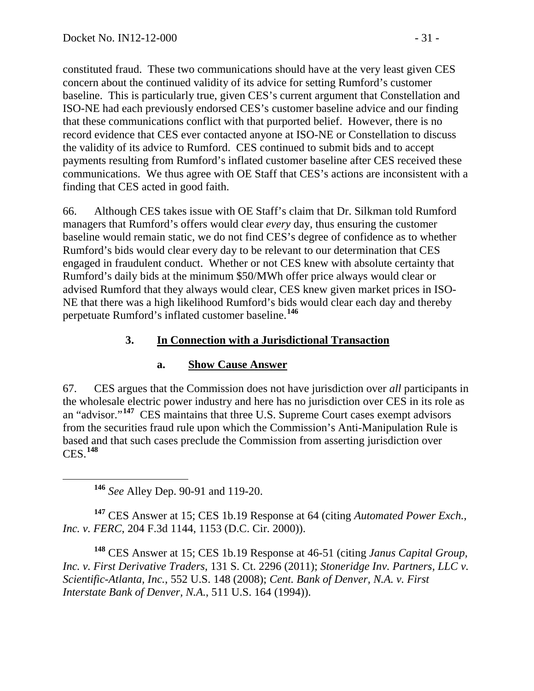constituted fraud. These two communications should have at the very least given CES concern about the continued validity of its advice for setting Rumford's customer baseline. This is particularly true, given CES's current argument that Constellation and ISO-NE had each previously endorsed CES's customer baseline advice and our finding that these communications conflict with that purported belief. However, there is no record evidence that CES ever contacted anyone at ISO-NE or Constellation to discuss the validity of its advice to Rumford. CES continued to submit bids and to accept payments resulting from Rumford's inflated customer baseline after CES received these communications. We thus agree with OE Staff that CES's actions are inconsistent with a finding that CES acted in good faith.

66. Although CES takes issue with OE Staff's claim that Dr. Silkman told Rumford managers that Rumford's offers would clear *every* day, thus ensuring the customer baseline would remain static, we do not find CES's degree of confidence as to whether Rumford's bids would clear every day to be relevant to our determination that CES engaged in fraudulent conduct. Whether or not CES knew with absolute certainty that Rumford's daily bids at the minimum \$50/MWh offer price always would clear or advised Rumford that they always would clear, CES knew given market prices in ISO-NE that there was a high likelihood Rumford's bids would clear each day and thereby perpetuate Rumford's inflated customer baseline.**[146](#page-30-0)**

# **3. In Connection with a Jurisdictional Transaction**

# **a. Show Cause Answer**

67. CES argues that the Commission does not have jurisdiction over *all* participants in the wholesale electric power industry and here has no jurisdiction over CES in its role as an "advisor."**[147](#page-30-1)** CES maintains that three U.S. Supreme Court cases exempt advisors from the securities fraud rule upon which the Commission's Anti-Manipulation Rule is based and that such cases preclude the Commission from asserting jurisdiction over CES.**[148](#page-30-2)**

**<sup>146</sup>** *See* Alley Dep. 90-91 and 119-20.

<span id="page-30-1"></span><span id="page-30-0"></span>**<sup>147</sup>** CES Answer at 15; CES 1b.19 Response at 64 (citing *Automated Power Exch., Inc. v. FERC*, 204 F.3d 1144, 1153 (D.C. Cir. 2000)).

<span id="page-30-2"></span>**<sup>148</sup>** CES Answer at 15; CES 1b.19 Response at 46-51 (citing *Janus Capital Group, Inc. v. First Derivative Traders*, 131 S. Ct. 2296 (2011); *Stoneridge Inv. Partners, LLC v. Scientific-Atlanta, Inc.*, 552 U.S. 148 (2008); *Cent. Bank of Denver, N.A. v. First Interstate Bank of Denver, N.A.*, 511 U.S. 164 (1994)).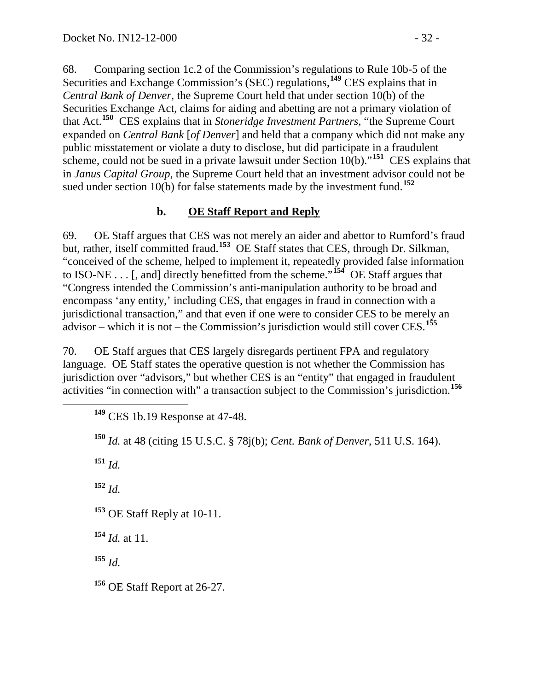68. Comparing section 1c.2 of the Commission's regulations to Rule 10b-5 of the Securities and Exchange Commission's (SEC) regulations, **[149](#page-31-0)** CES explains that in *Central Bank of Denver*, the Supreme Court held that under section 10(b) of the Securities Exchange Act, claims for aiding and abetting are not a primary violation of that Act. **[150](#page-31-1)** CES explains that in *Stoneridge Investment Partners*, "the Supreme Court expanded on *Central Bank* [*of Denver*] and held that a company which did not make any public misstatement or violate a duty to disclose, but did participate in a fraudulent scheme, could not be sued in a private lawsuit under Section  $10(b)$ .<sup> $151$ </sup> CES explains that in *Janus Capital Group*, the Supreme Court held that an investment advisor could not be sued under section  $10(b)$  for false statements made by the investment fund.<sup>[152](#page-31-3)</sup>

### **b. OE Staff Report and Reply**

69. OE Staff argues that CES was not merely an aider and abettor to Rumford's fraud but, rather, itself committed fraud.**[153](#page-31-4)** OE Staff states that CES, through Dr. Silkman, "conceived of the scheme, helped to implement it, repeatedly provided false information to ISO-NE . . . [, and] directly benefitted from the scheme."**[154](#page-31-5)** OE Staff argues that "Congress intended the Commission's anti-manipulation authority to be broad and encompass 'any entity,' including CES, that engages in fraud in connection with a jurisdictional transaction," and that even if one were to consider CES to be merely an advisor – which it is not – the Commission's jurisdiction would still cover CES. **[155](#page-31-6)**

<span id="page-31-0"></span>70. OE Staff argues that CES largely disregards pertinent FPA and regulatory language. OE Staff states the operative question is not whether the Commission has jurisdiction over "advisors," but whether CES is an "entity" that engaged in fraudulent activities "in connection with" a transaction subject to the Commission's jurisdiction. **[156](#page-31-7)**

**<sup>149</sup>** CES 1b.19 Response at 47-48.

<span id="page-31-1"></span>**<sup>150</sup>** *Id.* at 48 (citing 15 U.S.C. § 78j(b); *Cent. Bank of Denver*, 511 U.S. 164).

<span id="page-31-2"></span>**<sup>151</sup>** *Id.*

<span id="page-31-3"></span>**<sup>152</sup>** *Id.*

<span id="page-31-4"></span>**<sup>153</sup>** OE Staff Reply at 10-11.

<span id="page-31-5"></span>**<sup>154</sup>** *Id.* at 11.

<span id="page-31-6"></span>**<sup>155</sup>** *Id.*

<span id="page-31-7"></span>**<sup>156</sup>** OE Staff Report at 26-27.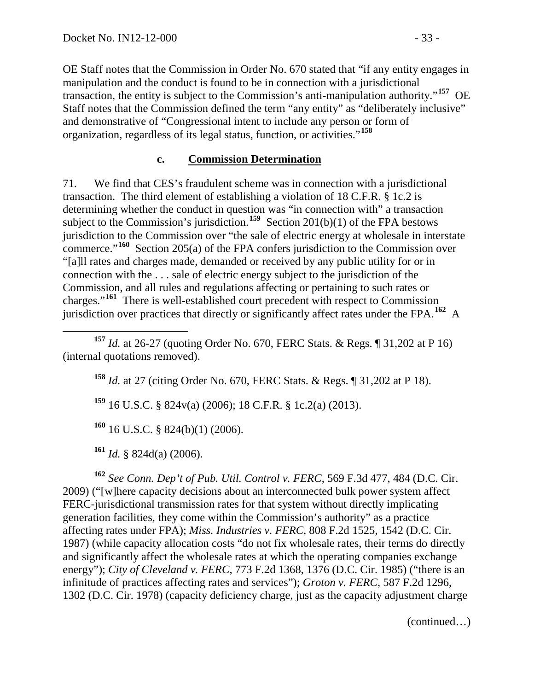OE Staff notes that the Commission in Order No. 670 stated that "if any entity engages in manipulation and the conduct is found to be in connection with a jurisdictional transaction, the entity is subject to the Commission's anti-manipulation authority."**[157](#page-32-0)** OE Staff notes that the Commission defined the term "any entity" as "deliberately inclusive" and demonstrative of "Congressional intent to include any person or form of organization, regardless of its legal status, function, or activities."**[158](#page-32-1)**

#### **c. Commission Determination**

71. We find that CES's fraudulent scheme was in connection with a jurisdictional transaction. The third element of establishing a violation of 18 C.F.R. § 1c.2 is determining whether the conduct in question was "in connection with" a transaction subject to the Commission's jurisdiction.**[159](#page-32-2)** Section 201(b)(1) of the FPA bestows jurisdiction to the Commission over "the sale of electric energy at wholesale in interstate commerce."**[160](#page-32-3)** Section 205(a) of the FPA confers jurisdiction to the Commission over "[a]ll rates and charges made, demanded or received by any public utility for or in connection with the . . . sale of electric energy subject to the jurisdiction of the Commission, and all rules and regulations affecting or pertaining to such rates or charges."**[161](#page-32-4)** There is well-established court precedent with respect to Commission jurisdiction over practices that directly or significantly affect rates under the FPA. **[162](#page-32-5)** A

**<sup>158</sup>** *Id.* at 27 (citing Order No. 670, FERC Stats. & Regs. ¶ 31,202 at P 18).

**<sup>159</sup>** 16 U.S.C. § 824v(a) (2006); 18 C.F.R. § 1c.2(a) (2013).

**<sup>160</sup>** 16 U.S.C. § 824(b)(1) (2006).

**<sup>161</sup>** *Id.* § 824d(a) (2006).

<span id="page-32-5"></span><span id="page-32-4"></span><span id="page-32-3"></span>**<sup>162</sup>** *See Conn. Dep't of Pub. Util. Control v. FERC*, 569 F.3d 477, 484 (D.C. Cir. 2009) ("[w]here capacity decisions about an interconnected bulk power system affect FERC-jurisdictional transmission rates for that system without directly implicating generation facilities, they come within the Commission's authority" as a practice affecting rates under FPA); *Miss. Industries v. FERC*, 808 F.2d 1525, 1542 (D.C. Cir. 1987) (while capacity allocation costs "do not fix wholesale rates, their terms do directly and significantly affect the wholesale rates at which the operating companies exchange energy"); *City of Cleveland v. FERC*, 773 F.2d 1368, 1376 (D.C. Cir. 1985) ("there is an infinitude of practices affecting rates and services"); *Groton v. FERC*, 587 F.2d 1296, 1302 (D.C. Cir. 1978) (capacity deficiency charge, just as the capacity adjustment charge

(continued…)

<span id="page-32-2"></span><span id="page-32-1"></span><span id="page-32-0"></span>**<sup>157</sup>** *Id.* at 26-27 (quoting Order No. 670, FERC Stats. & Regs. ¶ 31,202 at P 16) (internal quotations removed).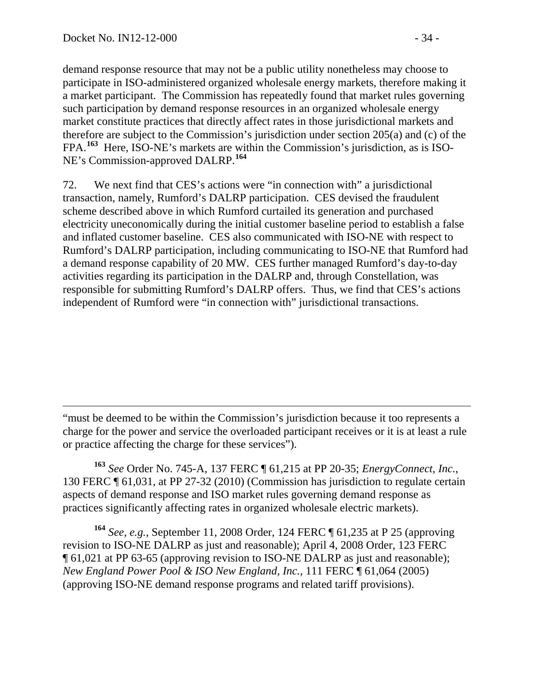$\overline{a}$ 

demand response resource that may not be a public utility nonetheless may choose to participate in ISO-administered organized wholesale energy markets, therefore making it a market participant. The Commission has repeatedly found that market rules governing such participation by demand response resources in an organized wholesale energy market constitute practices that directly affect rates in those jurisdictional markets and therefore are subject to the Commission's jurisdiction under section 205(a) and (c) of the FPA.**[163](#page-33-0)** Here, ISO-NE's markets are within the Commission's jurisdiction, as is ISO-NE's Commission-approved DALRP. **[164](#page-33-1)**

72. We next find that CES's actions were "in connection with" a jurisdictional transaction, namely, Rumford's DALRP participation. CES devised the fraudulent scheme described above in which Rumford curtailed its generation and purchased electricity uneconomically during the initial customer baseline period to establish a false and inflated customer baseline. CES also communicated with ISO-NE with respect to Rumford's DALRP participation, including communicating to ISO-NE that Rumford had a demand response capability of 20 MW. CES further managed Rumford's day-to-day activities regarding its participation in the DALRP and, through Constellation, was responsible for submitting Rumford's DALRP offers. Thus, we find that CES's actions independent of Rumford were "in connection with" jurisdictional transactions.

"must be deemed to be within the Commission's jurisdiction because it too represents a charge for the power and service the overloaded participant receives or it is at least a rule or practice affecting the charge for these services").

<span id="page-33-0"></span>**<sup>163</sup>** *See* Order No. 745-A, 137 FERC ¶ 61,215 at PP 20-35; *EnergyConnect, Inc.*, 130 FERC ¶ 61,031, at PP 27-32 (2010) (Commission has jurisdiction to regulate certain aspects of demand response and ISO market rules governing demand response as practices significantly affecting rates in organized wholesale electric markets).

<span id="page-33-1"></span>**<sup>164</sup>** *See, e.g.*, September 11, 2008 Order, 124 FERC ¶ 61,235 at P 25 (approving revision to ISO-NE DALRP as just and reasonable); April 4, 2008 Order, 123 FERC ¶ 61,021 at PP 63-65 (approving revision to ISO-NE DALRP as just and reasonable); *New England Power Pool & ISO New England, Inc.*, 111 FERC ¶ 61,064 (2005) (approving ISO-NE demand response programs and related tariff provisions).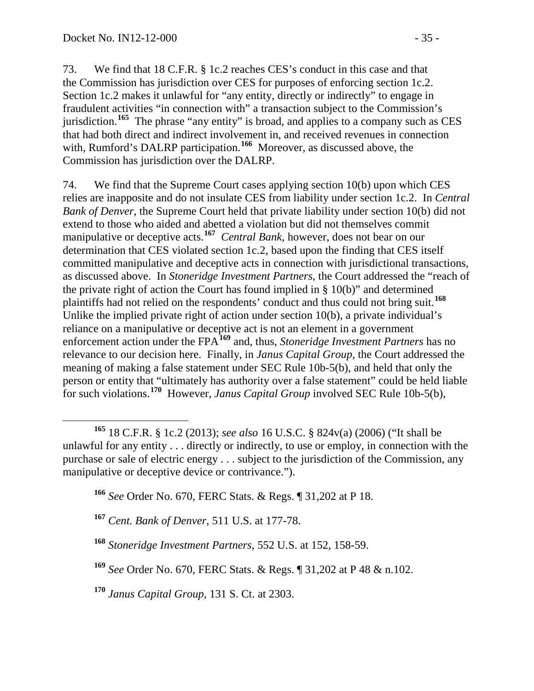73. We find that 18 C.F.R. § 1c.2 reaches CES's conduct in this case and that the Commission has jurisdiction over CES for purposes of enforcing section 1c.2. Section 1c.2 makes it unlawful for "any entity, directly or indirectly" to engage in fraudulent activities "in connection with" a transaction subject to the Commission's jurisdiction.**[165](#page-34-0)** The phrase "any entity" is broad, and applies to a company such as CES that had both direct and indirect involvement in, and received revenues in connection with, Rumford's DALRP participation. **[166](#page-34-1)** Moreover, as discussed above, the Commission has jurisdiction over the DALRP.

74. We find that the Supreme Court cases applying section 10(b) upon which CES relies are inapposite and do not insulate CES from liability under section 1c.2. In *Central Bank of Denver*, the Supreme Court held that private liability under section 10(b) did not extend to those who aided and abetted a violation but did not themselves commit manipulative or deceptive acts.<sup>[167](#page-34-2)</sup> *Central Bank*, however, does not bear on our determination that CES violated section 1c.2, based upon the finding that CES itself committed manipulative and deceptive acts in connection with jurisdictional transactions, as discussed above. In *Stoneridge Investment Partners*, the Court addressed the "reach of the private right of action the Court has found implied in § 10(b)" and determined plaintiffs had not relied on the respondents' conduct and thus could not bring suit.**[168](#page-34-3)** Unlike the implied private right of action under section 10(b), a private individual's reliance on a manipulative or deceptive act is not an element in a government enforcement action under the FPA**[169](#page-34-4)** and, thus, *Stoneridge Investment Partners* has no relevance to our decision here. Finally, in *Janus Capital Group*, the Court addressed the meaning of making a false statement under SEC Rule 10b-5(b), and held that only the person or entity that "ultimately has authority over a false statement" could be held liable for such violations. **[170](#page-34-5)** However, *Janus Capital Group* involved SEC Rule 10b-5(b),

- **<sup>166</sup>** *See* Order No. 670, FERC Stats. & Regs. ¶ 31,202 at P 18.
- <span id="page-34-2"></span>**<sup>167</sup>** *Cent. Bank of Denver*, 511 U.S. at 177-78.
- <span id="page-34-3"></span>**<sup>168</sup>** *Stoneridge Investment Partners*, 552 U.S. at 152, 158-59.
- <span id="page-34-4"></span>**<sup>169</sup>** *See* Order No. 670, FERC Stats. & Regs. ¶ 31,202 at P 48 & n.102.

<span id="page-34-5"></span>**<sup>170</sup>** *Janus Capital Group*, 131 S. Ct. at 2303.

<span id="page-34-1"></span><span id="page-34-0"></span>**<sup>165</sup>** 18 C.F.R. § 1c.2 (2013); *see also* 16 U.S.C. § 824v(a) (2006) ("It shall be unlawful for any entity . . . directly or indirectly, to use or employ, in connection with the purchase or sale of electric energy . . . subject to the jurisdiction of the Commission, any manipulative or deceptive device or contrivance.").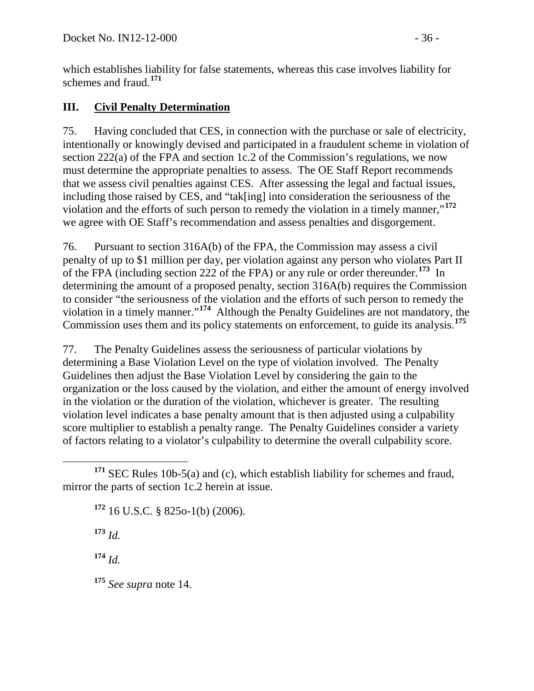which establishes liability for false statements, whereas this case involves liability for schemes and fraud.**[171](#page-35-0)**

## **III. Civil Penalty Determination**

75. Having concluded that CES, in connection with the purchase or sale of electricity, intentionally or knowingly devised and participated in a fraudulent scheme in violation of section 222(a) of the FPA and section 1c.2 of the Commission's regulations, we now must determine the appropriate penalties to assess. The OE Staff Report recommends that we assess civil penalties against CES. After assessing the legal and factual issues, including those raised by CES, and "tak[ing] into consideration the seriousness of the violation and the efforts of such person to remedy the violation in a timely manner,"**[172](#page-35-1)** we agree with OE Staff's recommendation and assess penalties and disgorgement.

76. Pursuant to section 316A(b) of the FPA, the Commission may assess a civil penalty of up to \$1 million per day, per violation against any person who violates Part II of the FPA (including section 222 of the FPA) or any rule or order thereunder.**[173](#page-35-2)** In determining the amount of a proposed penalty, section 316A(b) requires the Commission to consider "the seriousness of the violation and the efforts of such person to remedy the violation in a timely manner."**[174](#page-35-3)** Although the Penalty Guidelines are not mandatory, the Commission uses them and its policy statements on enforcement, to guide its analysis.**[175](#page-35-4)**

77. The Penalty Guidelines assess the seriousness of particular violations by determining a Base Violation Level on the type of violation involved. The Penalty Guidelines then adjust the Base Violation Level by considering the gain to the organization or the loss caused by the violation, and either the amount of energy involved in the violation or the duration of the violation, whichever is greater. The resulting violation level indicates a base penalty amount that is then adjusted using a culpability score multiplier to establish a penalty range. The Penalty Guidelines consider a variety of factors relating to a violator's culpability to determine the overall culpability score.

**<sup>172</sup>** 16 U.S.C. § 825o-1(b) (2006).

**<sup>173</sup>** *Id.*

<span id="page-35-3"></span>**<sup>174</sup>** *Id.*

<span id="page-35-4"></span>**<sup>175</sup>** *See supra* note [14.](#page-3-5)

<span id="page-35-2"></span><span id="page-35-1"></span><span id="page-35-0"></span>**<sup>171</sup>** SEC Rules 10b-5(a) and (c), which establish liability for schemes and fraud, mirror the parts of section 1c.2 herein at issue.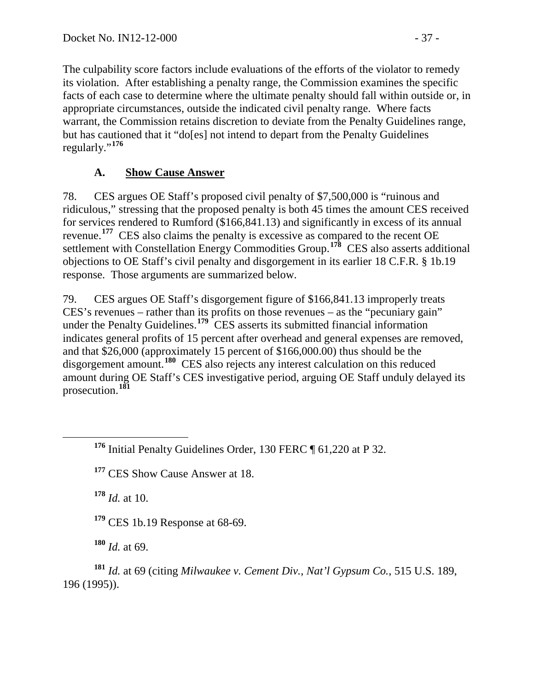The culpability score factors include evaluations of the efforts of the violator to remedy its violation. After establishing a penalty range, the Commission examines the specific facts of each case to determine where the ultimate penalty should fall within outside or, in appropriate circumstances, outside the indicated civil penalty range. Where facts warrant, the Commission retains discretion to deviate from the Penalty Guidelines range, but has cautioned that it "do[es] not intend to depart from the Penalty Guidelines regularly."**[176](#page-36-0)**

# **A. Show Cause Answer**

78. CES argues OE Staff's proposed civil penalty of \$7,500,000 is "ruinous and ridiculous," stressing that the proposed penalty is both 45 times the amount CES received for services rendered to Rumford (\$166,841.13) and significantly in excess of its annual revenue.<sup>[177](#page-36-1)</sup> CES also claims the penalty is excessive as compared to the recent OE settlement with Constellation Energy Commodities Group.**[178](#page-36-2)** CES also asserts additional objections to OE Staff's civil penalty and disgorgement in its earlier 18 C.F.R. § 1b.19 response. Those arguments are summarized below.

79. CES argues OE Staff's disgorgement figure of \$166,841.13 improperly treats CES's revenues – rather than its profits on those revenues – as the "pecuniary gain" under the Penalty Guidelines.<sup>[179](#page-36-3)</sup> CES asserts its submitted financial information indicates general profits of 15 percent after overhead and general expenses are removed, and that \$26,000 (approximately 15 percent of \$166,000.00) thus should be the disgorgement amount.**[180](#page-36-4)** CES also rejects any interest calculation on this reduced amount during OE Staff's CES investigative period, arguing OE Staff unduly delayed its prosecution.**[181](#page-36-5)**

<span id="page-36-1"></span>**<sup>177</sup>** CES Show Cause Answer at 18.

<span id="page-36-2"></span>**<sup>178</sup>** *Id.* at 10.

**<sup>179</sup>** CES 1b.19 Response at 68-69.

**<sup>180</sup>** *Id.* at 69.

<span id="page-36-5"></span><span id="page-36-4"></span><span id="page-36-3"></span>**<sup>181</sup>** *Id.* at 69 (citing *Milwaukee v. Cement Div., Nat'l Gypsum Co.*, 515 U.S. 189, 196 (1995)).

<span id="page-36-0"></span>**<sup>176</sup>** Initial Penalty Guidelines Order, 130 FERC ¶ 61,220 at P 32.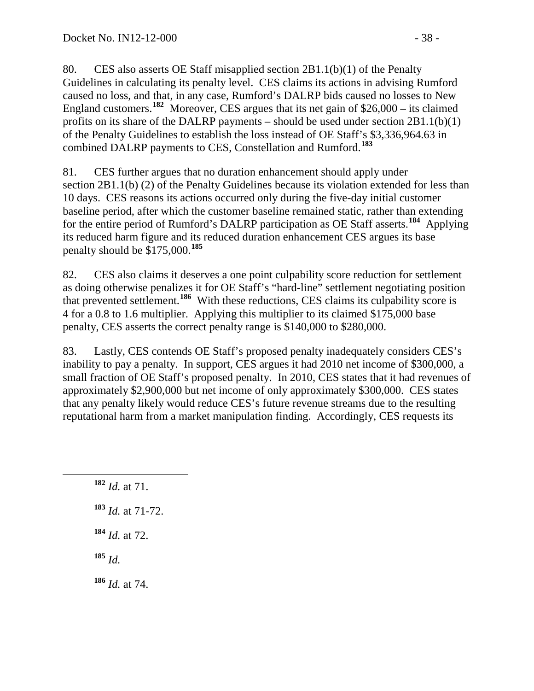80. CES also asserts OE Staff misapplied section 2B1.1(b)(1) of the Penalty Guidelines in calculating its penalty level. CES claims its actions in advising Rumford caused no loss, and that, in any case, Rumford's DALRP bids caused no losses to New England customers.**[182](#page-37-0)** Moreover, CES argues that its net gain of \$26,000 – its claimed profits on its share of the DALRP payments – should be used under section  $2B1.1(b)(1)$ of the Penalty Guidelines to establish the loss instead of OE Staff's \$3,336,964.63 in combined DALRP payments to CES, Constellation and Rumford.**[183](#page-37-1)**

81. CES further argues that no duration enhancement should apply under section 2B1.1(b) (2) of the Penalty Guidelines because its violation extended for less than 10 days. CES reasons its actions occurred only during the five-day initial customer baseline period, after which the customer baseline remained static, rather than extending for the entire period of Rumford's DALRP participation as OE Staff asserts.**[184](#page-37-2)** Applying its reduced harm figure and its reduced duration enhancement CES argues its base penalty should be \$175,000.**[185](#page-37-3)**

82. CES also claims it deserves a one point culpability score reduction for settlement as doing otherwise penalizes it for OE Staff's "hard-line" settlement negotiating position that prevented settlement.**[186](#page-37-4)** With these reductions, CES claims its culpability score is 4 for a 0.8 to 1.6 multiplier. Applying this multiplier to its claimed \$175,000 base penalty, CES asserts the correct penalty range is \$140,000 to \$280,000.

83. Lastly, CES contends OE Staff's proposed penalty inadequately considers CES's inability to pay a penalty. In support, CES argues it had 2010 net income of \$300,000, a small fraction of OE Staff's proposed penalty. In 2010, CES states that it had revenues of approximately \$2,900,000 but net income of only approximately \$300,000. CES states that any penalty likely would reduce CES's future revenue streams due to the resulting reputational harm from a market manipulation finding. Accordingly, CES requests its

<span id="page-37-4"></span><span id="page-37-3"></span><span id="page-37-2"></span><span id="page-37-1"></span><span id="page-37-0"></span> **<sup>182</sup>** *Id.* at 71. **<sup>183</sup>** *Id.* at 71-72. **<sup>184</sup>** *Id.* at 72. **<sup>185</sup>** *Id.* **<sup>186</sup>** *Id.* at 74.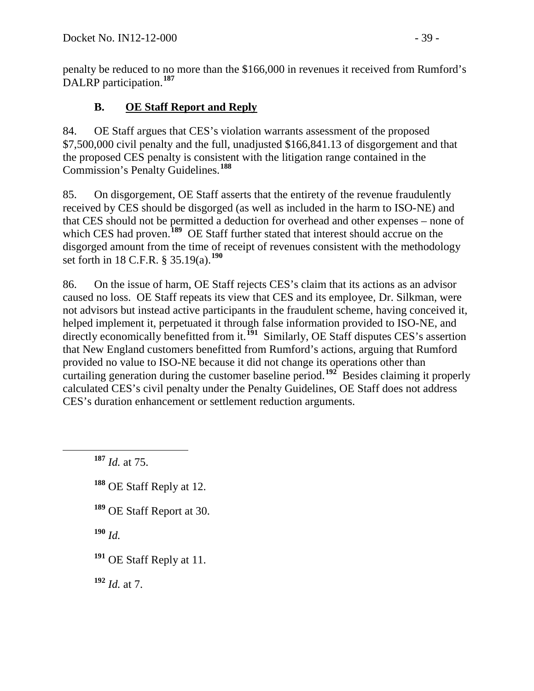penalty be reduced to no more than the \$166,000 in revenues it received from Rumford's DALRP participation.**[187](#page-38-0)**

# **B. OE Staff Report and Reply**

84. OE Staff argues that CES's violation warrants assessment of the proposed \$7,500,000 civil penalty and the full, unadjusted \$166,841.13 of disgorgement and that the proposed CES penalty is consistent with the litigation range contained in the Commission's Penalty Guidelines.**[188](#page-38-1)**

85. On disgorgement, OE Staff asserts that the entirety of the revenue fraudulently received by CES should be disgorged (as well as included in the harm to ISO-NE) and that CES should not be permitted a deduction for overhead and other expenses – none of which CES had proven.<sup>[189](#page-38-2)</sup> OE Staff further stated that interest should accrue on the disgorged amount from the time of receipt of revenues consistent with the methodology set forth in 18 C.F.R. § 35.19(a).**[190](#page-38-3)**

86. On the issue of harm, OE Staff rejects CES's claim that its actions as an advisor caused no loss. OE Staff repeats its view that CES and its employee, Dr. Silkman, were not advisors but instead active participants in the fraudulent scheme, having conceived it, helped implement it, perpetuated it through false information provided to ISO-NE, and directly economically benefitted from it.<sup>[191](#page-38-4)</sup> Similarly, OE Staff disputes CES's assertion that New England customers benefitted from Rumford's actions, arguing that Rumford provided no value to ISO-NE because it did not change its operations other than curtailing generation during the customer baseline period.**[192](#page-38-5)** Besides claiming it properly calculated CES's civil penalty under the Penalty Guidelines, OE Staff does not address CES's duration enhancement or settlement reduction arguments.

<span id="page-38-0"></span>**<sup>187</sup>** *Id.* at 75.

- <span id="page-38-1"></span>**<sup>188</sup>** OE Staff Reply at 12.
- <span id="page-38-2"></span>**<sup>189</sup>** OE Staff Report at 30.

<span id="page-38-3"></span>**<sup>190</sup>** *Id.*

<span id="page-38-4"></span>**<sup>191</sup>** OE Staff Reply at 11.

<span id="page-38-5"></span>**<sup>192</sup>** *Id.* at 7.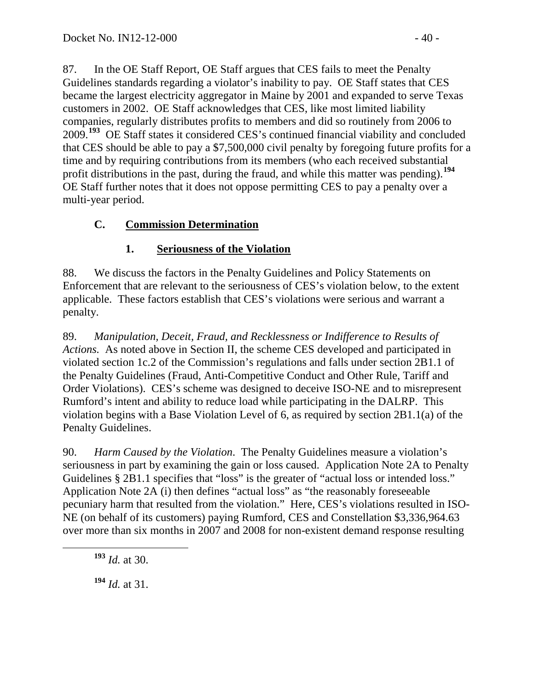87. In the OE Staff Report, OE Staff argues that CES fails to meet the Penalty Guidelines standards regarding a violator's inability to pay. OE Staff states that CES became the largest electricity aggregator in Maine by 2001 and expanded to serve Texas customers in 2002. OE Staff acknowledges that CES, like most limited liability companies, regularly distributes profits to members and did so routinely from 2006 to 2009.**[193](#page-39-0)** OE Staff states it considered CES's continued financial viability and concluded that CES should be able to pay a \$7,500,000 civil penalty by foregoing future profits for a time and by requiring contributions from its members (who each received substantial profit distributions in the past, during the fraud, and while this matter was pending).**[194](#page-39-1)** OE Staff further notes that it does not oppose permitting CES to pay a penalty over a multi-year period.

# **C. Commission Determination**

# **1. Seriousness of the Violation**

88. We discuss the factors in the Penalty Guidelines and Policy Statements on Enforcement that are relevant to the seriousness of CES's violation below, to the extent applicable. These factors establish that CES's violations were serious and warrant a penalty.

89. *Manipulation, Deceit, Fraud, and Recklessness or Indifference to Results of Actions.* As noted above in Section II, the scheme CES developed and participated in violated section 1c.2 of the Commission's regulations and falls under section 2B1.1 of the Penalty Guidelines (Fraud, Anti-Competitive Conduct and Other Rule, Tariff and Order Violations). CES's scheme was designed to deceive ISO-NE and to misrepresent Rumford's intent and ability to reduce load while participating in the DALRP. This violation begins with a Base Violation Level of 6, as required by section 2B1.1(a) of the Penalty Guidelines.

90. *Harm Caused by the Violation*. The Penalty Guidelines measure a violation's seriousness in part by examining the gain or loss caused. Application Note 2A to Penalty Guidelines § 2B1.1 specifies that "loss" is the greater of "actual loss or intended loss." Application Note 2A (i) then defines "actual loss" as "the reasonably foreseeable pecuniary harm that resulted from the violation." Here, CES's violations resulted in ISO-NE (on behalf of its customers) paying Rumford, CES and Constellation \$3,336,964.63 over more than six months in 2007 and 2008 for non-existent demand response resulting

<span id="page-39-0"></span>**<sup>193</sup>** *Id.* at 30.

<span id="page-39-1"></span>**<sup>194</sup>** *Id.* at 31.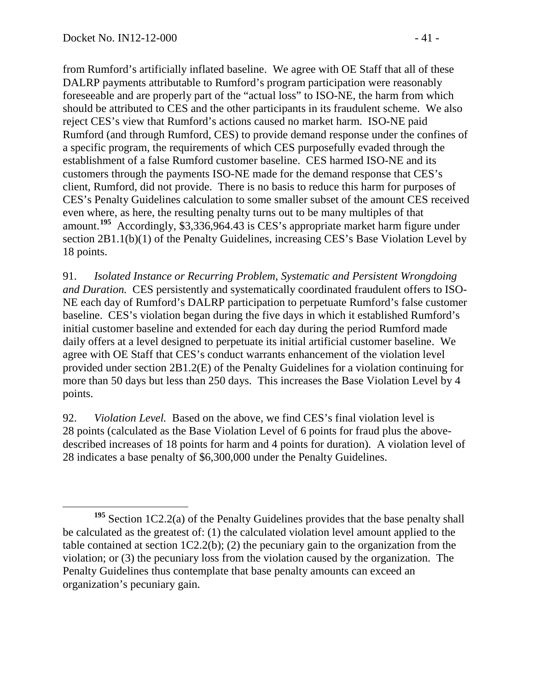from Rumford's artificially inflated baseline. We agree with OE Staff that all of these DALRP payments attributable to Rumford's program participation were reasonably foreseeable and are properly part of the "actual loss" to ISO-NE, the harm from which should be attributed to CES and the other participants in its fraudulent scheme. We also reject CES's view that Rumford's actions caused no market harm. ISO-NE paid Rumford (and through Rumford, CES) to provide demand response under the confines of a specific program, the requirements of which CES purposefully evaded through the establishment of a false Rumford customer baseline. CES harmed ISO-NE and its customers through the payments ISO-NE made for the demand response that CES's client, Rumford, did not provide. There is no basis to reduce this harm for purposes of CES's Penalty Guidelines calculation to some smaller subset of the amount CES received even where, as here, the resulting penalty turns out to be many multiples of that amount.**[195](#page-40-0)** Accordingly, \$3,336,964.43 is CES's appropriate market harm figure under section 2B1.1(b)(1) of the Penalty Guidelines, increasing CES's Base Violation Level by 18 points.

91. *Isolated Instance or Recurring Problem, Systematic and Persistent Wrongdoing and Duration.* CES persistently and systematically coordinated fraudulent offers to ISO-NE each day of Rumford's DALRP participation to perpetuate Rumford's false customer baseline. CES's violation began during the five days in which it established Rumford's initial customer baseline and extended for each day during the period Rumford made daily offers at a level designed to perpetuate its initial artificial customer baseline. We agree with OE Staff that CES's conduct warrants enhancement of the violation level provided under section 2B1.2(E) of the Penalty Guidelines for a violation continuing for more than 50 days but less than 250 days. This increases the Base Violation Level by 4 points.

92. *Violation Level.* Based on the above, we find CES's final violation level is 28 points (calculated as the Base Violation Level of 6 points for fraud plus the abovedescribed increases of 18 points for harm and 4 points for duration). A violation level of 28 indicates a base penalty of \$6,300,000 under the Penalty Guidelines.

<span id="page-40-0"></span>**<sup>195</sup>** Section 1C2.2(a) of the Penalty Guidelines provides that the base penalty shall be calculated as the greatest of: (1) the calculated violation level amount applied to the table contained at section 1C2.2(b); (2) the pecuniary gain to the organization from the violation; or (3) the pecuniary loss from the violation caused by the organization. The Penalty Guidelines thus contemplate that base penalty amounts can exceed an organization's pecuniary gain.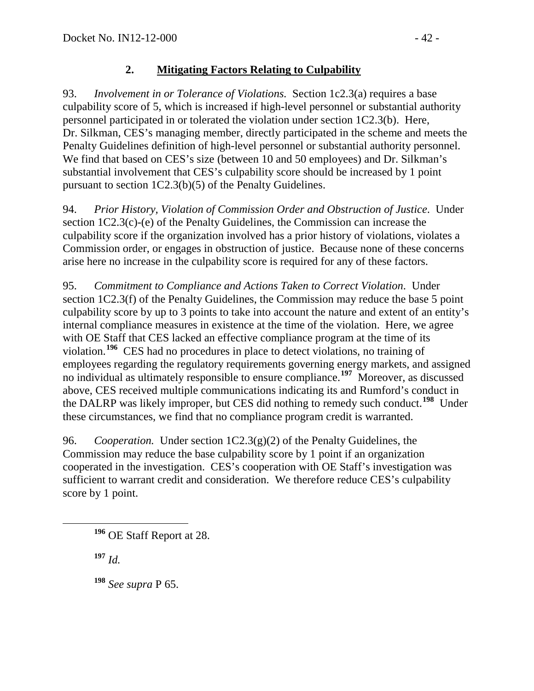## **2. Mitigating Factors Relating to Culpability**

93. *Involvement in or Tolerance of Violations.* Section 1c2.3(a) requires a base culpability score of 5, which is increased if high-level personnel or substantial authority personnel participated in or tolerated the violation under section 1C2.3(b). Here, Dr. Silkman, CES's managing member, directly participated in the scheme and meets the Penalty Guidelines definition of high-level personnel or substantial authority personnel. We find that based on CES's size (between 10 and 50 employees) and Dr. Silkman's substantial involvement that CES's culpability score should be increased by 1 point pursuant to section 1C2.3(b)(5) of the Penalty Guidelines.

94. *Prior History, Violation of Commission Order and Obstruction of Justice*. Under section 1C2.3(c)-(e) of the Penalty Guidelines, the Commission can increase the culpability score if the organization involved has a prior history of violations, violates a Commission order, or engages in obstruction of justice. Because none of these concerns arise here no increase in the culpability score is required for any of these factors.

95. *Commitment to Compliance and Actions Taken to Correct Violation*. Under section 1C2.3(f) of the Penalty Guidelines, the Commission may reduce the base 5 point culpability score by up to 3 points to take into account the nature and extent of an entity's internal compliance measures in existence at the time of the violation. Here, we agree with OE Staff that CES lacked an effective compliance program at the time of its violation.**[196](#page-41-0)** CES had no procedures in place to detect violations, no training of employees regarding the regulatory requirements governing energy markets, and assigned no individual as ultimately responsible to ensure compliance.**[197](#page-41-1)** Moreover, as discussed above, CES received multiple communications indicating its and Rumford's conduct in the DALRP was likely improper, but CES did nothing to remedy such conduct.**[198](#page-41-2)** Under these circumstances, we find that no compliance program credit is warranted.

96. *Cooperation.* Under section 1C2.3(g)(2) of the Penalty Guidelines, the Commission may reduce the base culpability score by 1 point if an organization cooperated in the investigation. CES's cooperation with OE Staff's investigation was sufficient to warrant credit and consideration. We therefore reduce CES's culpability score by 1 point.

<span id="page-41-1"></span>**<sup>197</sup>** *Id.*

<span id="page-41-2"></span>**<sup>198</sup>** *See supra* P [65.](#page-29-2)

<span id="page-41-0"></span>**<sup>196</sup>** OE Staff Report at 28.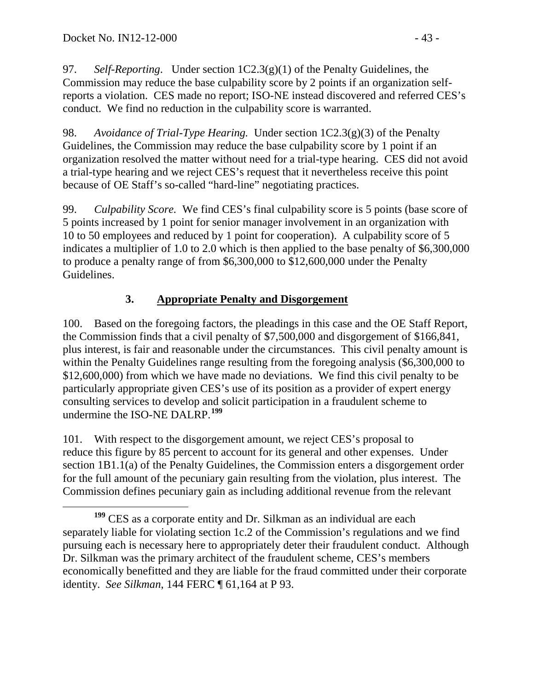97. *Self-Reporting*. Under section 1C2.3(g)(1) of the Penalty Guidelines, the Commission may reduce the base culpability score by 2 points if an organization selfreports a violation. CES made no report; ISO-NE instead discovered and referred CES's conduct. We find no reduction in the culpability score is warranted.

98. *Avoidance of Trial-Type Hearing.* Under section 1C2.3(g)(3) of the Penalty Guidelines, the Commission may reduce the base culpability score by 1 point if an organization resolved the matter without need for a trial-type hearing. CES did not avoid a trial-type hearing and we reject CES's request that it nevertheless receive this point because of OE Staff's so-called "hard-line" negotiating practices.

99. *Culpability Score.* We find CES's final culpability score is 5 points (base score of 5 points increased by 1 point for senior manager involvement in an organization with 10 to 50 employees and reduced by 1 point for cooperation). A culpability score of 5 indicates a multiplier of 1.0 to 2.0 which is then applied to the base penalty of \$6,300,000 to produce a penalty range of from \$6,300,000 to \$12,600,000 under the Penalty Guidelines.

# **3. Appropriate Penalty and Disgorgement**

100. Based on the foregoing factors, the pleadings in this case and the OE Staff Report, the Commission finds that a civil penalty of \$7,500,000 and disgorgement of \$166,841, plus interest, is fair and reasonable under the circumstances. This civil penalty amount is within the Penalty Guidelines range resulting from the foregoing analysis (\$6,300,000 to \$12,600,000) from which we have made no deviations. We find this civil penalty to be particularly appropriate given CES's use of its position as a provider of expert energy consulting services to develop and solicit participation in a fraudulent scheme to undermine the ISO-NE DALRP.**[199](#page-42-0)**

101. With respect to the disgorgement amount, we reject CES's proposal to reduce this figure by 85 percent to account for its general and other expenses. Under section 1B1.1(a) of the Penalty Guidelines, the Commission enters a disgorgement order for the full amount of the pecuniary gain resulting from the violation, plus interest. The Commission defines pecuniary gain as including additional revenue from the relevant

<span id="page-42-0"></span>**<sup>199</sup>** CES as a corporate entity and Dr. Silkman as an individual are each separately liable for violating section 1c.2 of the Commission's regulations and we find pursuing each is necessary here to appropriately deter their fraudulent conduct. Although Dr. Silkman was the primary architect of the fraudulent scheme, CES's members economically benefitted and they are liable for the fraud committed under their corporate identity. *See Silkman*, 144 FERC ¶ 61,164 at P 93.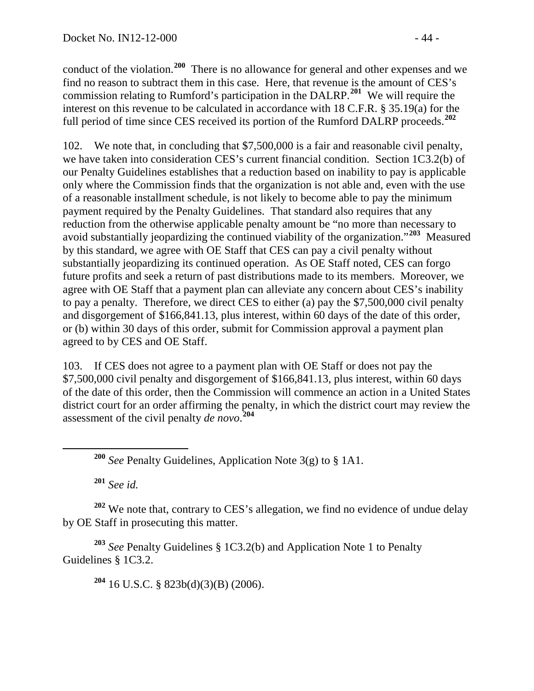conduct of the violation.**[200](#page-43-0)** There is no allowance for general and other expenses and we find no reason to subtract them in this case. Here, that revenue is the amount of CES's commission relating to Rumford's participation in the DALRP.**[201](#page-43-1)** We will require the interest on this revenue to be calculated in accordance with 18 C.F.R. § 35.19(a) for the full period of time since CES received its portion of the Rumford DALRP proceeds.**[202](#page-43-2)**

102. We note that, in concluding that \$7,500,000 is a fair and reasonable civil penalty, we have taken into consideration CES's current financial condition. Section 1C3.2(b) of our Penalty Guidelines establishes that a reduction based on inability to pay is applicable only where the Commission finds that the organization is not able and, even with the use of a reasonable installment schedule, is not likely to become able to pay the minimum payment required by the Penalty Guidelines. That standard also requires that any reduction from the otherwise applicable penalty amount be "no more than necessary to avoid substantially jeopardizing the continued viability of the organization."**[203](#page-43-3)** Measured by this standard, we agree with OE Staff that CES can pay a civil penalty without substantially jeopardizing its continued operation. As OE Staff noted, CES can forgo future profits and seek a return of past distributions made to its members. Moreover, we agree with OE Staff that a payment plan can alleviate any concern about CES's inability to pay a penalty. Therefore, we direct CES to either (a) pay the \$7,500,000 civil penalty and disgorgement of \$166,841.13, plus interest, within 60 days of the date of this order, or (b) within 30 days of this order, submit for Commission approval a payment plan agreed to by CES and OE Staff.

103. If CES does not agree to a payment plan with OE Staff or does not pay the \$7,500,000 civil penalty and disgorgement of \$166,841.13, plus interest, within 60 days of the date of this order, then the Commission will commence an action in a United States district court for an order affirming the penalty, in which the district court may review the assessment of the civil penalty *de novo*. **[204](#page-43-4)**

**<sup>201</sup>** *See id.*

<span id="page-43-2"></span><span id="page-43-1"></span><span id="page-43-0"></span>**<sup>202</sup>** We note that, contrary to CES's allegation, we find no evidence of undue delay by OE Staff in prosecuting this matter.

<span id="page-43-4"></span><span id="page-43-3"></span>**<sup>203</sup>** *See* Penalty Guidelines § 1C3.2(b) and Application Note 1 to Penalty Guidelines § 1C3.2.

**<sup>204</sup>** 16 U.S.C. § 823b(d)(3)(B) (2006).

**<sup>200</sup>** *See* Penalty Guidelines, Application Note 3(g) to § 1A1.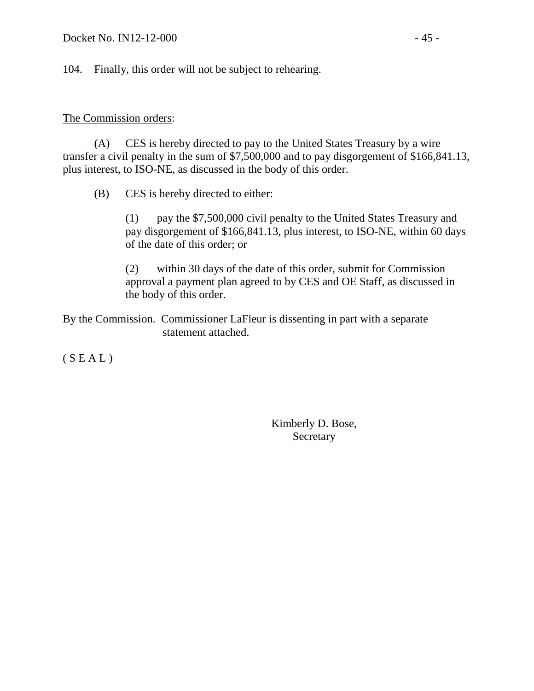104. Finally, this order will not be subject to rehearing.

### The Commission orders:

(A) CES is hereby directed to pay to the United States Treasury by a wire transfer a civil penalty in the sum of \$7,500,000 and to pay disgorgement of \$166,841.13, plus interest, to ISO-NE, as discussed in the body of this order.

(B) CES is hereby directed to either:

(1) pay the \$7,500,000 civil penalty to the United States Treasury and pay disgorgement of \$166,841.13, plus interest, to ISO-NE, within 60 days of the date of this order; or

(2) within 30 days of the date of this order, submit for Commission approval a payment plan agreed to by CES and OE Staff, as discussed in the body of this order.

By the Commission. Commissioner LaFleur is dissenting in part with a separate statement attached.

 $(S E A L)$ 

Kimberly D. Bose, **Secretary**